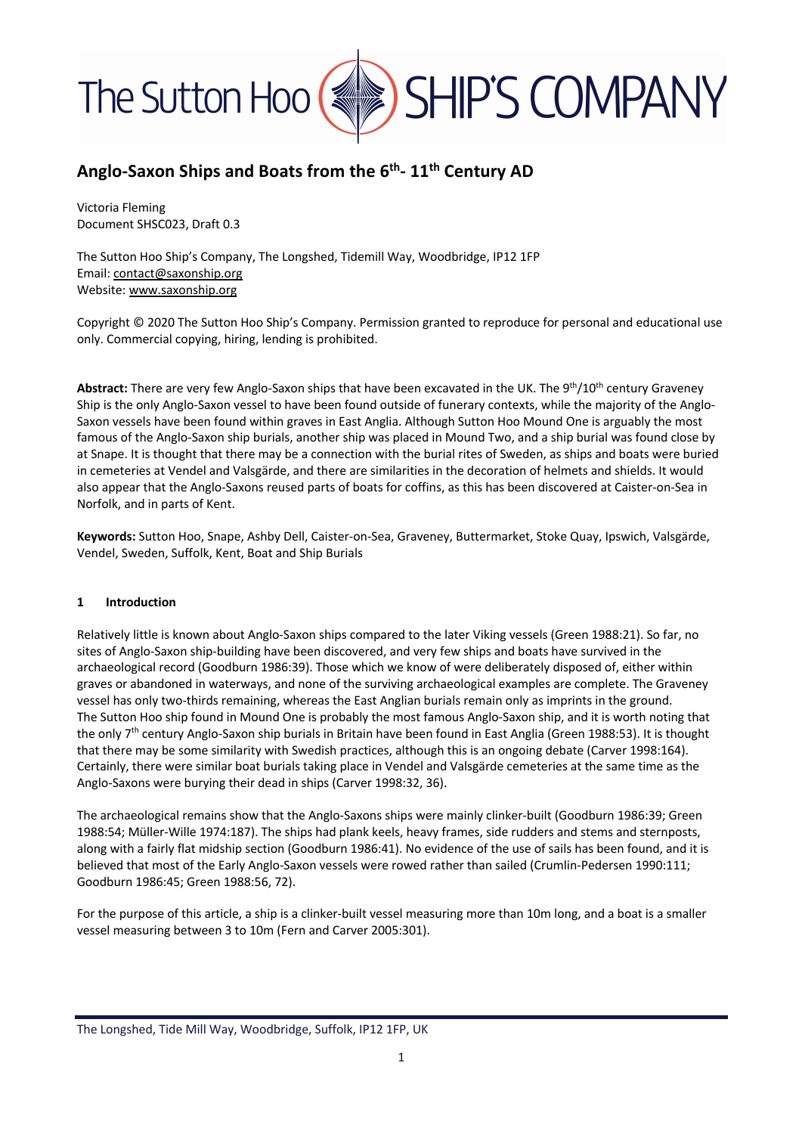

### **Anglo-Saxon Ships and Boats from the 6th- 11th Century AD**

Victoria Fleming Document SHSC023, Draft 0.3

The Sutton Hoo Ship's Company, The Longshed, Tidemill Way, Woodbridge, IP12 1FP Email: contact@saxonship.org Website: www.saxonship.org

Copyright © 2020 The Sutton Hoo Ship's Company. Permission granted to reproduce for personal and educational use only. Commercial copying, hiring, lending is prohibited.

**Abstract:** There are very few Anglo-Saxon ships that have been excavated in the UK. The 9th/10th century Graveney Ship is the only Anglo-Saxon vessel to have been found outside of funerary contexts, while the majority of the Anglo-Saxon vessels have been found within graves in East Anglia. Although Sutton Hoo Mound One is arguably the most famous of the Anglo-Saxon ship burials, another ship was placed in Mound Two, and a ship burial was found close by at Snape. It is thought that there may be a connection with the burial rites of Sweden, as ships and boats were buried in cemeteries at Vendel and Valsgärde, and there are similarities in the decoration of helmets and shields. It would also appear that the Anglo-Saxons reused parts of boats for coffins, as this has been discovered at Caister-on-Sea in Norfolk, and in parts of Kent.

**Keywords:** Sutton Hoo, Snape, Ashby Dell, Caister-on-Sea, Graveney, Buttermarket, Stoke Quay, Ipswich, Valsgärde, Vendel, Sweden, Suffolk, Kent, Boat and Ship Burials

#### **1 Introduction**

Relatively little is known about Anglo-Saxon ships compared to the later Viking vessels (Green 1988:21). So far, no sites of Anglo-Saxon ship-building have been discovered, and very few ships and boats have survived in the archaeological record (Goodburn 1986:39). Those which we know of were deliberately disposed of, either within graves or abandoned in waterways, and none of the surviving archaeological examples are complete. The Graveney vessel has only two-thirds remaining, whereas the East Anglian burials remain only as imprints in the ground. The Sutton Hoo ship found in Mound One is probably the most famous Anglo-Saxon ship, and it is worth noting that the only 7<sup>th</sup> century Anglo-Saxon ship burials in Britain have been found in East Anglia (Green 1988:53). It is thought that there may be some similarity with Swedish practices, although this is an ongoing debate (Carver 1998:164). Certainly, there were similar boat burials taking place in Vendel and Valsgärde cemeteries at the same time as the Anglo-Saxons were burying their dead in ships (Carver 1998:32, 36).

The archaeological remains show that the Anglo-Saxons ships were mainly clinker-built (Goodburn 1986:39; Green 1988:54; Müller-Wille 1974:187). The ships had plank keels, heavy frames, side rudders and stems and sternposts, along with a fairly flat midship section (Goodburn 1986:41). No evidence of the use of sails has been found, and it is believed that most of the Early Anglo-Saxon vessels were rowed rather than sailed (Crumlin-Pedersen 1990:111; Goodburn 1986:45; Green 1988:56, 72).

For the purpose of this article, a ship is a clinker-built vessel measuring more than 10m long, and a boat is a smaller vessel measuring between 3 to 10m (Fern and Carver 2005:301).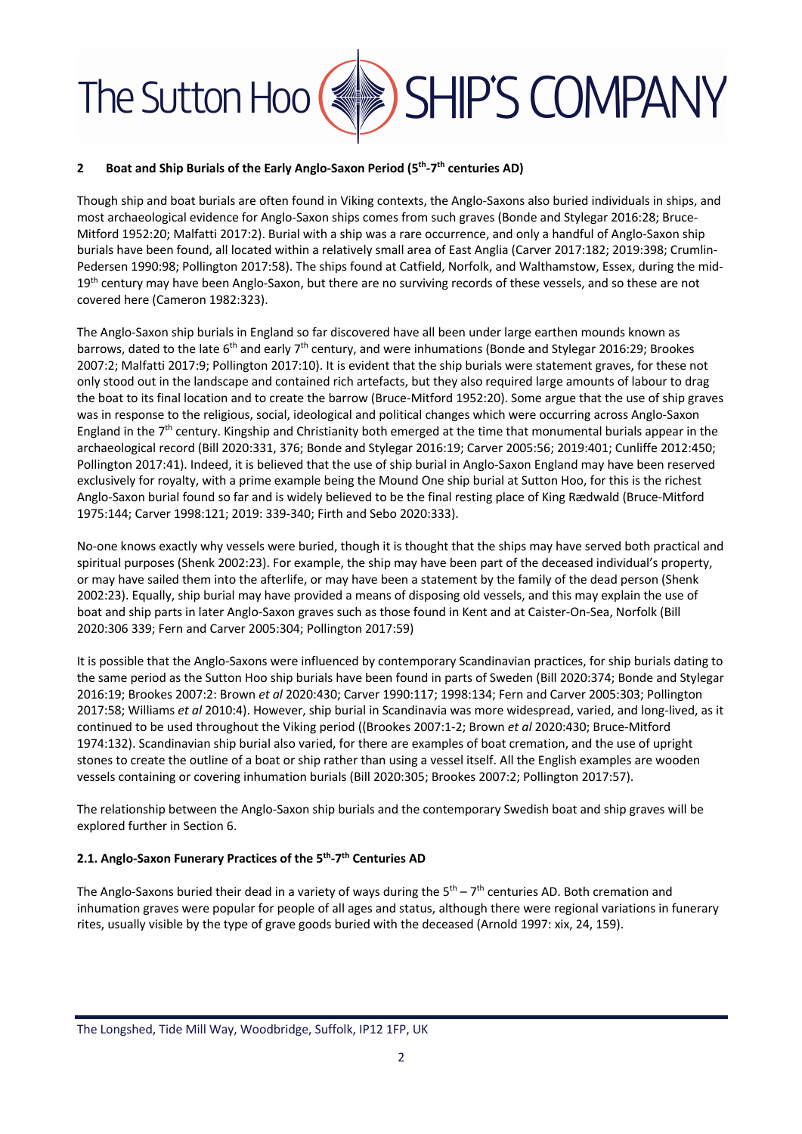#### **2 Boat and Ship Burials of the Early Anglo-Saxon Period (5th-7th centuries AD)**

Though ship and boat burials are often found in Viking contexts, the Anglo-Saxons also buried individuals in ships, and most archaeological evidence for Anglo-Saxon ships comes from such graves (Bonde and Stylegar 2016:28; Bruce-Mitford 1952:20; Malfatti 2017:2). Burial with a ship was a rare occurrence, and only a handful of Anglo-Saxon ship burials have been found, all located within a relatively small area of East Anglia (Carver 2017:182; 2019:398; Crumlin-Pedersen 1990:98; Pollington 2017:58). The ships found at Catfield, Norfolk, and Walthamstow, Essex, during the mid-19<sup>th</sup> century may have been Anglo-Saxon, but there are no surviving records of these vessels, and so these are not covered here (Cameron 1982:323).

The Anglo-Saxon ship burials in England so far discovered have all been under large earthen mounds known as barrows, dated to the late 6<sup>th</sup> and early 7<sup>th</sup> century, and were inhumations (Bonde and Stylegar 2016:29; Brookes 2007:2; Malfatti 2017:9; Pollington 2017:10). It is evident that the ship burials were statement graves, for these not only stood out in the landscape and contained rich artefacts, but they also required large amounts of labour to drag the boat to its final location and to create the barrow (Bruce-Mitford 1952:20). Some argue that the use of ship graves was in response to the religious, social, ideological and political changes which were occurring across Anglo-Saxon England in the  $7<sup>th</sup>$  century. Kingship and Christianity both emerged at the time that monumental burials appear in the archaeological record (Bill 2020:331, 376; Bonde and Stylegar 2016:19; Carver 2005:56; 2019:401; Cunliffe 2012:450; Pollington 2017:41). Indeed, it is believed that the use of ship burial in Anglo-Saxon England may have been reserved exclusively for royalty, with a prime example being the Mound One ship burial at Sutton Hoo, for this is the richest Anglo-Saxon burial found so far and is widely believed to be the final resting place of King Rædwald (Bruce-Mitford 1975:144; Carver 1998:121; 2019: 339-340; Firth and Sebo 2020:333).

No-one knows exactly why vessels were buried, though it is thought that the ships may have served both practical and spiritual purposes (Shenk 2002:23). For example, the ship may have been part of the deceased individual's property, or may have sailed them into the afterlife, or may have been a statement by the family of the dead person (Shenk 2002:23). Equally, ship burial may have provided a means of disposing old vessels, and this may explain the use of boat and ship parts in later Anglo-Saxon graves such as those found in Kent and at Caister-On-Sea, Norfolk (Bill 2020:306 339; Fern and Carver 2005:304; Pollington 2017:59)

It is possible that the Anglo-Saxons were influenced by contemporary Scandinavian practices, for ship burials dating to the same period as the Sutton Hoo ship burials have been found in parts of Sweden (Bill 2020:374; Bonde and Stylegar 2016:19; Brookes 2007:2: Brown *et al* 2020:430; Carver 1990:117; 1998:134; Fern and Carver 2005:303; Pollington 2017:58; Williams *et al* 2010:4). However, ship burial in Scandinavia was more widespread, varied, and long-lived, as it continued to be used throughout the Viking period ((Brookes 2007:1-2; Brown *et al* 2020:430; Bruce-Mitford 1974:132). Scandinavian ship burial also varied, for there are examples of boat cremation, and the use of upright stones to create the outline of a boat or ship rather than using a vessel itself. All the English examples are wooden vessels containing or covering inhumation burials (Bill 2020:305; Brookes 2007:2; Pollington 2017:57).

The relationship between the Anglo-Saxon ship burials and the contemporary Swedish boat and ship graves will be explored further in Section 6.

#### **2.1. Anglo-Saxon Funerary Practices of the 5th-7th Centuries AD**

The Anglo-Saxons buried their dead in a variety of ways during the  $5<sup>th</sup> - 7<sup>th</sup>$  centuries AD. Both cremation and inhumation graves were popular for people of all ages and status, although there were regional variations in funerary rites, usually visible by the type of grave goods buried with the deceased (Arnold 1997: xix, 24, 159).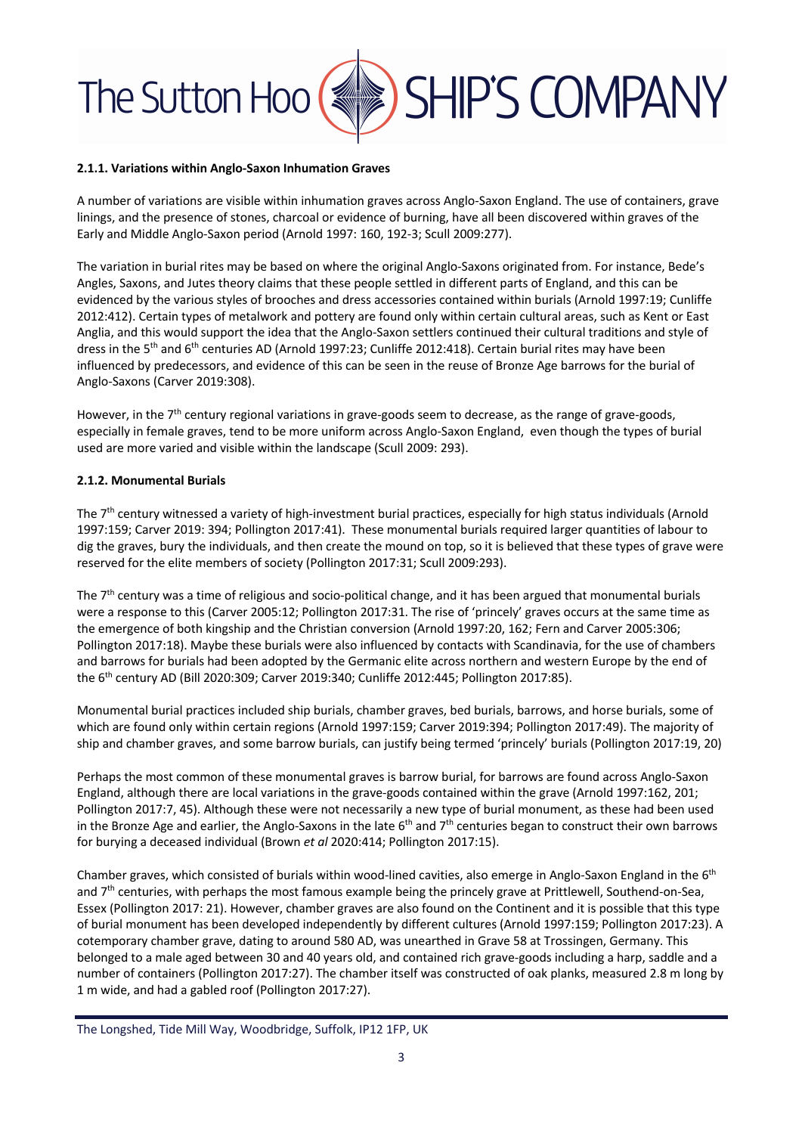#### **2.1.1. Variations within Anglo-Saxon Inhumation Graves**

A number of variations are visible within inhumation graves across Anglo-Saxon England. The use of containers, grave linings, and the presence of stones, charcoal or evidence of burning, have all been discovered within graves of the Early and Middle Anglo-Saxon period (Arnold 1997: 160, 192-3; Scull 2009:277).

The variation in burial rites may be based on where the original Anglo-Saxons originated from. For instance, Bede's Angles, Saxons, and Jutes theory claims that these people settled in different parts of England, and this can be evidenced by the various styles of brooches and dress accessories contained within burials (Arnold 1997:19; Cunliffe 2012:412). Certain types of metalwork and pottery are found only within certain cultural areas, such as Kent or East Anglia, and this would support the idea that the Anglo-Saxon settlers continued their cultural traditions and style of dress in the 5<sup>th</sup> and 6<sup>th</sup> centuries AD (Arnold 1997:23; Cunliffe 2012:418). Certain burial rites may have been influenced by predecessors, and evidence of this can be seen in the reuse of Bronze Age barrows for the burial of Anglo-Saxons (Carver 2019:308).

However, in the 7<sup>th</sup> century regional variations in grave-goods seem to decrease, as the range of grave-goods, especially in female graves, tend to be more uniform across Anglo-Saxon England, even though the types of burial used are more varied and visible within the landscape (Scull 2009: 293).

#### **2.1.2. Monumental Burials**

The 7<sup>th</sup> century witnessed a variety of high-investment burial practices, especially for high status individuals (Arnold 1997:159; Carver 2019: 394; Pollington 2017:41). These monumental burials required larger quantities of labour to dig the graves, bury the individuals, and then create the mound on top, so it is believed that these types of grave were reserved for the elite members of society (Pollington 2017:31; Scull 2009:293).

The 7<sup>th</sup> century was a time of religious and socio-political change, and it has been argued that monumental burials were a response to this (Carver 2005:12; Pollington 2017:31. The rise of 'princely' graves occurs at the same time as the emergence of both kingship and the Christian conversion (Arnold 1997:20, 162; Fern and Carver 2005:306; Pollington 2017:18). Maybe these burials were also influenced by contacts with Scandinavia, for the use of chambers and barrows for burials had been adopted by the Germanic elite across northern and western Europe by the end of the 6<sup>th</sup> century AD (Bill 2020:309; Carver 2019:340; Cunliffe 2012:445; Pollington 2017:85).

Monumental burial practices included ship burials, chamber graves, bed burials, barrows, and horse burials, some of which are found only within certain regions (Arnold 1997:159; Carver 2019:394; Pollington 2017:49). The majority of ship and chamber graves, and some barrow burials, can justify being termed 'princely' burials (Pollington 2017:19, 20)

Perhaps the most common of these monumental graves is barrow burial, for barrows are found across Anglo-Saxon England, although there are local variations in the grave-goods contained within the grave (Arnold 1997:162, 201; Pollington 2017:7, 45). Although these were not necessarily a new type of burial monument, as these had been used in the Bronze Age and earlier, the Anglo-Saxons in the late  $6<sup>th</sup>$  and  $7<sup>th</sup>$  centuries began to construct their own barrows for burying a deceased individual (Brown *et al* 2020:414; Pollington 2017:15).

Chamber graves, which consisted of burials within wood-lined cavities, also emerge in Anglo-Saxon England in the 6<sup>th</sup> and 7<sup>th</sup> centuries, with perhaps the most famous example being the princely grave at Prittlewell, Southend-on-Sea, Essex (Pollington 2017: 21). However, chamber graves are also found on the Continent and it is possible that this type of burial monument has been developed independently by different cultures (Arnold 1997:159; Pollington 2017:23). A cotemporary chamber grave, dating to around 580 AD, was unearthed in Grave 58 at Trossingen, Germany. This belonged to a male aged between 30 and 40 years old, and contained rich grave-goods including a harp, saddle and a number of containers (Pollington 2017:27). The chamber itself was constructed of oak planks, measured 2.8 m long by 1 m wide, and had a gabled roof (Pollington 2017:27).

The Longshed, Tide Mill Way, Woodbridge, Suffolk, IP12 1FP, UK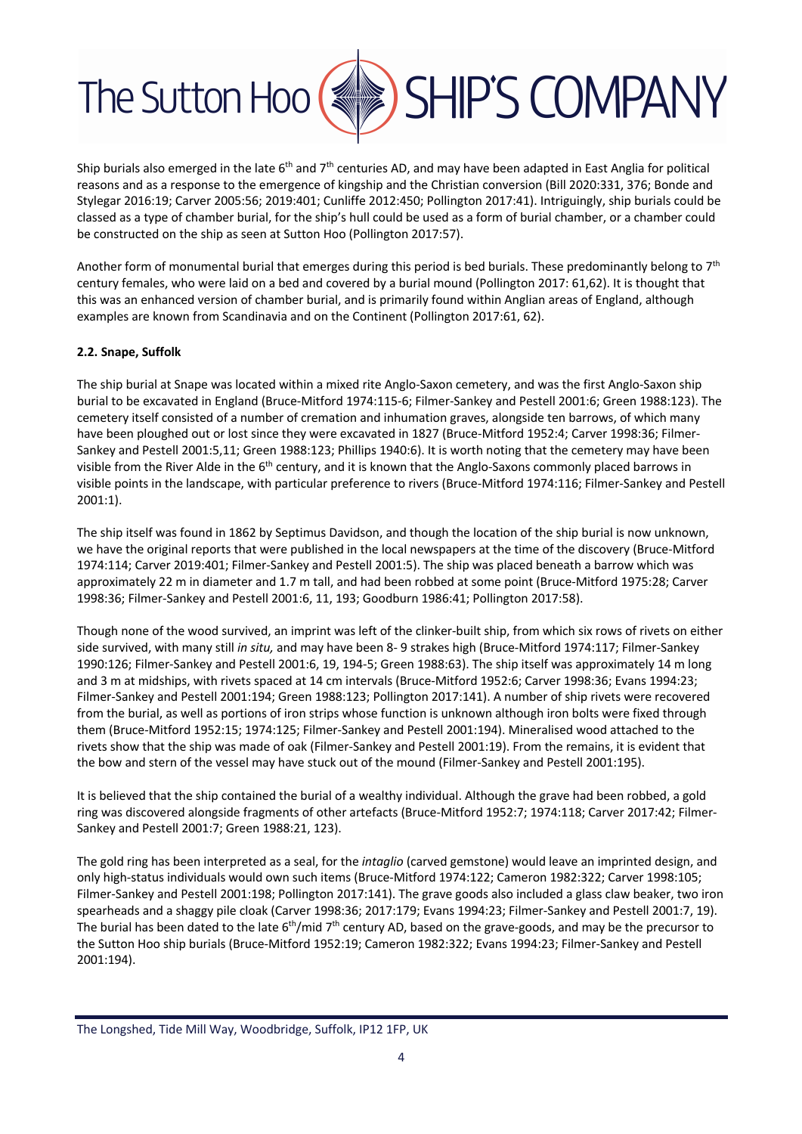

Ship burials also emerged in the late  $6<sup>th</sup>$  and  $7<sup>th</sup>$  centuries AD, and may have been adapted in East Anglia for political reasons and as a response to the emergence of kingship and the Christian conversion (Bill 2020:331, 376; Bonde and Stylegar 2016:19; Carver 2005:56; 2019:401; Cunliffe 2012:450; Pollington 2017:41). Intriguingly, ship burials could be classed as a type of chamber burial, for the ship's hull could be used as a form of burial chamber, or a chamber could be constructed on the ship as seen at Sutton Hoo (Pollington 2017:57).

Another form of monumental burial that emerges during this period is bed burials. These predominantly belong to  $7<sup>th</sup>$ century females, who were laid on a bed and covered by a burial mound (Pollington 2017: 61,62). It is thought that this was an enhanced version of chamber burial, and is primarily found within Anglian areas of England, although examples are known from Scandinavia and on the Continent (Pollington 2017:61, 62).

#### **2.2. Snape, Suffolk**

The ship burial at Snape was located within a mixed rite Anglo-Saxon cemetery, and was the first Anglo-Saxon ship burial to be excavated in England (Bruce-Mitford 1974:115-6; Filmer-Sankey and Pestell 2001:6; Green 1988:123). The cemetery itself consisted of a number of cremation and inhumation graves, alongside ten barrows, of which many have been ploughed out or lost since they were excavated in 1827 (Bruce-Mitford 1952:4; Carver 1998:36; Filmer-Sankey and Pestell 2001:5,11; Green 1988:123; Phillips 1940:6). It is worth noting that the cemetery may have been visible from the River Alde in the 6<sup>th</sup> century, and it is known that the Anglo-Saxons commonly placed barrows in visible points in the landscape, with particular preference to rivers (Bruce-Mitford 1974:116; Filmer-Sankey and Pestell 2001:1).

The ship itself was found in 1862 by Septimus Davidson, and though the location of the ship burial is now unknown, we have the original reports that were published in the local newspapers at the time of the discovery (Bruce-Mitford 1974:114; Carver 2019:401; Filmer-Sankey and Pestell 2001:5). The ship was placed beneath a barrow which was approximately 22 m in diameter and 1.7 m tall, and had been robbed at some point (Bruce-Mitford 1975:28; Carver 1998:36; Filmer-Sankey and Pestell 2001:6, 11, 193; Goodburn 1986:41; Pollington 2017:58).

Though none of the wood survived, an imprint was left of the clinker-built ship, from which six rows of rivets on either side survived, with many still *in situ,* and may have been 8- 9 strakes high (Bruce-Mitford 1974:117; Filmer-Sankey 1990:126; Filmer-Sankey and Pestell 2001:6, 19, 194-5; Green 1988:63). The ship itself was approximately 14 m long and 3 m at midships, with rivets spaced at 14 cm intervals (Bruce-Mitford 1952:6; Carver 1998:36; Evans 1994:23; Filmer-Sankey and Pestell 2001:194; Green 1988:123; Pollington 2017:141). A number of ship rivets were recovered from the burial, as well as portions of iron strips whose function is unknown although iron bolts were fixed through them (Bruce-Mitford 1952:15; 1974:125; Filmer-Sankey and Pestell 2001:194). Mineralised wood attached to the rivets show that the ship was made of oak (Filmer-Sankey and Pestell 2001:19). From the remains, it is evident that the bow and stern of the vessel may have stuck out of the mound (Filmer-Sankey and Pestell 2001:195).

It is believed that the ship contained the burial of a wealthy individual. Although the grave had been robbed, a gold ring was discovered alongside fragments of other artefacts (Bruce-Mitford 1952:7; 1974:118; Carver 2017:42; Filmer-Sankey and Pestell 2001:7; Green 1988:21, 123).

The gold ring has been interpreted as a seal, for the *intaglio* (carved gemstone) would leave an imprinted design, and only high-status individuals would own such items (Bruce-Mitford 1974:122; Cameron 1982:322; Carver 1998:105; Filmer-Sankey and Pestell 2001:198; Pollington 2017:141). The grave goods also included a glass claw beaker, two iron spearheads and a shaggy pile cloak (Carver 1998:36; 2017:179; Evans 1994:23; Filmer-Sankey and Pestell 2001:7, 19). The burial has been dated to the late  $6th/mid 7th$  century AD, based on the grave-goods, and may be the precursor to the Sutton Hoo ship burials (Bruce-Mitford 1952:19; Cameron 1982:322; Evans 1994:23; Filmer-Sankey and Pestell 2001:194).

The Longshed, Tide Mill Way, Woodbridge, Suffolk, IP12 1FP, UK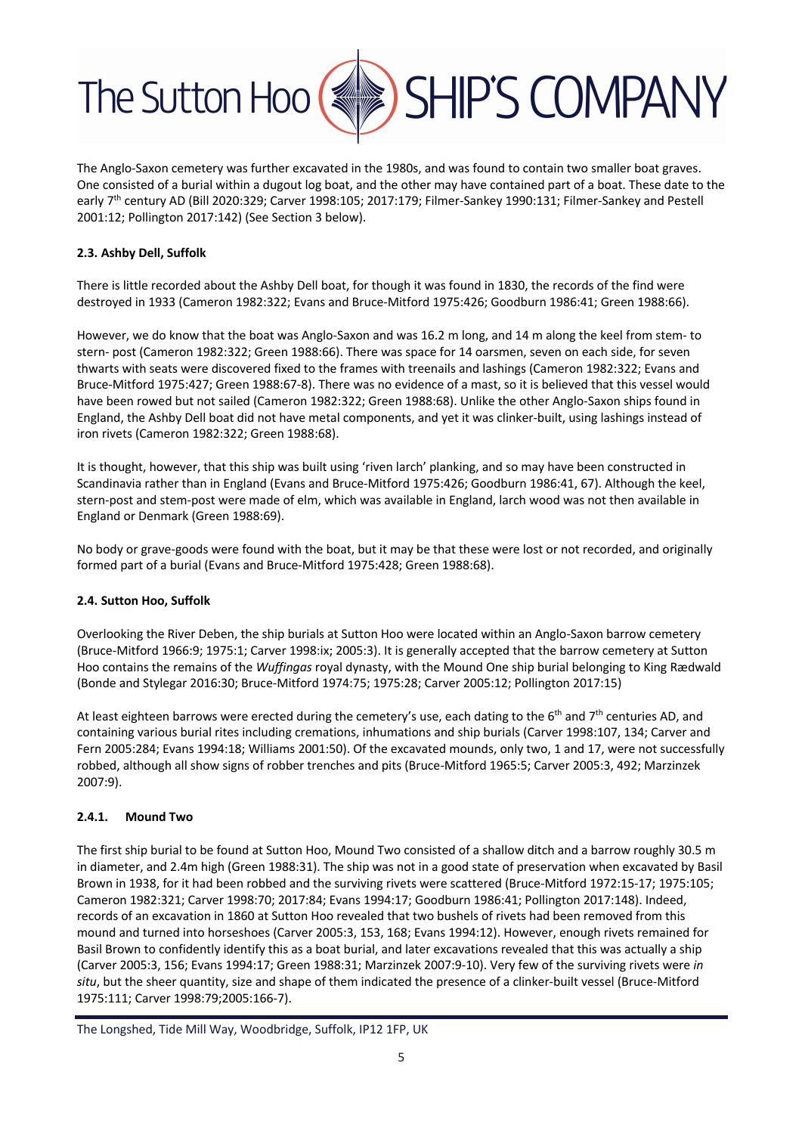

The Anglo-Saxon cemetery was further excavated in the 1980s, and was found to contain two smaller boat graves. One consisted of a burial within a dugout log boat, and the other may have contained part of a boat. These date to the early 7<sup>th</sup> century AD (Bill 2020:329; Carver 1998:105; 2017:179; Filmer-Sankey 1990:131; Filmer-Sankey and Pestell 2001:12; Pollington 2017:142) (See Section 3 below).

#### **2.3. Ashby Dell, Suffolk**

There is little recorded about the Ashby Dell boat, for though it was found in 1830, the records of the find were destroyed in 1933 (Cameron 1982:322; Evans and Bruce-Mitford 1975:426; Goodburn 1986:41; Green 1988:66).

However, we do know that the boat was Anglo-Saxon and was 16.2 m long, and 14 m along the keel from stem- to stern- post (Cameron 1982:322; Green 1988:66). There was space for 14 oarsmen, seven on each side, for seven thwarts with seats were discovered fixed to the frames with treenails and lashings (Cameron 1982:322; Evans and Bruce-Mitford 1975:427; Green 1988:67-8). There was no evidence of a mast, so it is believed that this vessel would have been rowed but not sailed (Cameron 1982:322; Green 1988:68). Unlike the other Anglo-Saxon ships found in England, the Ashby Dell boat did not have metal components, and yet it was clinker-built, using lashings instead of iron rivets (Cameron 1982:322; Green 1988:68).

It is thought, however, that this ship was built using 'riven larch' planking, and so may have been constructed in Scandinavia rather than in England (Evans and Bruce-Mitford 1975:426; Goodburn 1986:41, 67). Although the keel, stern-post and stem-post were made of elm, which was available in England, larch wood was not then available in England or Denmark (Green 1988:69).

No body or grave-goods were found with the boat, but it may be that these were lost or not recorded, and originally formed part of a burial (Evans and Bruce-Mitford 1975:428; Green 1988:68).

#### **2.4. Sutton Hoo, Suffolk**

Overlooking the River Deben, the ship burials at Sutton Hoo were located within an Anglo-Saxon barrow cemetery (Bruce-Mitford 1966:9; 1975:1; Carver 1998:ix; 2005:3). It is generally accepted that the barrow cemetery at Sutton Hoo contains the remains of the *Wuffingas* royal dynasty, with the Mound One ship burial belonging to King Rædwald (Bonde and Stylegar 2016:30; Bruce-Mitford 1974:75; 1975:28; Carver 2005:12; Pollington 2017:15)

At least eighteen barrows were erected during the cemetery's use, each dating to the  $6<sup>th</sup>$  and  $7<sup>th</sup>$  centuries AD, and containing various burial rites including cremations, inhumations and ship burials (Carver 1998:107, 134; Carver and Fern 2005:284; Evans 1994:18; Williams 2001:50). Of the excavated mounds, only two, 1 and 17, were not successfully robbed, although all show signs of robber trenches and pits (Bruce-Mitford 1965:5; Carver 2005:3, 492; Marzinzek 2007:9).

#### **2.4.1. Mound Two**

The first ship burial to be found at Sutton Hoo, Mound Two consisted of a shallow ditch and a barrow roughly 30.5 m in diameter, and 2.4m high (Green 1988:31). The ship was not in a good state of preservation when excavated by Basil Brown in 1938, for it had been robbed and the surviving rivets were scattered (Bruce-Mitford 1972:15-17; 1975:105; Cameron 1982:321; Carver 1998:70; 2017:84; Evans 1994:17; Goodburn 1986:41; Pollington 2017:148). Indeed, records of an excavation in 1860 at Sutton Hoo revealed that two bushels of rivets had been removed from this mound and turned into horseshoes (Carver 2005:3, 153, 168; Evans 1994:12). However, enough rivets remained for Basil Brown to confidently identify this as a boat burial, and later excavations revealed that this was actually a ship (Carver 2005:3, 156; Evans 1994:17; Green 1988:31; Marzinzek 2007:9-10). Very few of the surviving rivets were *in situ*, but the sheer quantity, size and shape of them indicated the presence of a clinker-built vessel (Bruce-Mitford 1975:111; Carver 1998:79;2005:166-7).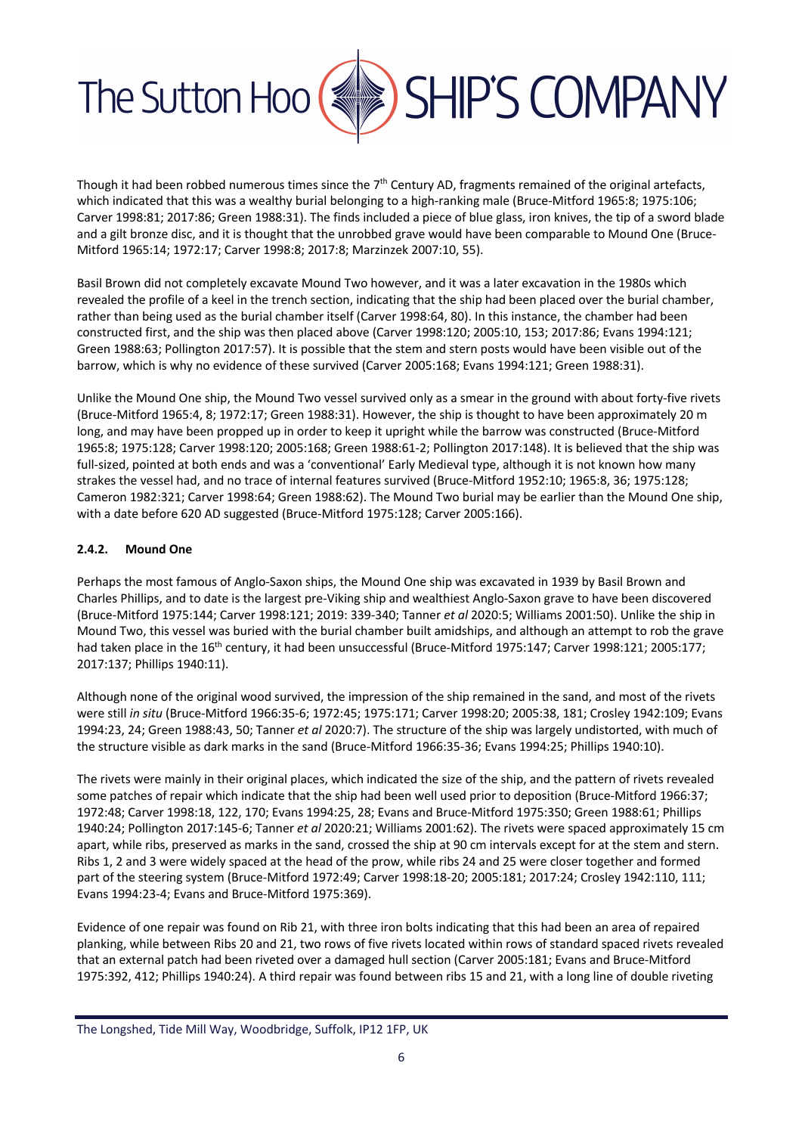

Though it had been robbed numerous times since the  $7<sup>th</sup>$  Century AD, fragments remained of the original artefacts, which indicated that this was a wealthy burial belonging to a high-ranking male (Bruce-Mitford 1965:8; 1975:106; Carver 1998:81; 2017:86; Green 1988:31). The finds included a piece of blue glass, iron knives, the tip of a sword blade and a gilt bronze disc, and it is thought that the unrobbed grave would have been comparable to Mound One (Bruce-Mitford 1965:14; 1972:17; Carver 1998:8; 2017:8; Marzinzek 2007:10, 55).

Basil Brown did not completely excavate Mound Two however, and it was a later excavation in the 1980s which revealed the profile of a keel in the trench section, indicating that the ship had been placed over the burial chamber, rather than being used as the burial chamber itself (Carver 1998:64, 80). In this instance, the chamber had been constructed first, and the ship was then placed above (Carver 1998:120; 2005:10, 153; 2017:86; Evans 1994:121; Green 1988:63; Pollington 2017:57). It is possible that the stem and stern posts would have been visible out of the barrow, which is why no evidence of these survived (Carver 2005:168; Evans 1994:121; Green 1988:31).

Unlike the Mound One ship, the Mound Two vessel survived only as a smear in the ground with about forty-five rivets (Bruce-Mitford 1965:4, 8; 1972:17; Green 1988:31). However, the ship is thought to have been approximately 20 m long, and may have been propped up in order to keep it upright while the barrow was constructed (Bruce-Mitford 1965:8; 1975:128; Carver 1998:120; 2005:168; Green 1988:61-2; Pollington 2017:148). It is believed that the ship was full-sized, pointed at both ends and was a 'conventional' Early Medieval type, although it is not known how many strakes the vessel had, and no trace of internal features survived (Bruce-Mitford 1952:10; 1965:8, 36; 1975:128; Cameron 1982:321; Carver 1998:64; Green 1988:62). The Mound Two burial may be earlier than the Mound One ship, with a date before 620 AD suggested (Bruce-Mitford 1975:128; Carver 2005:166).

#### **2.4.2. Mound One**

Perhaps the most famous of Anglo-Saxon ships, the Mound One ship was excavated in 1939 by Basil Brown and Charles Phillips, and to date is the largest pre-Viking ship and wealthiest Anglo-Saxon grave to have been discovered (Bruce-Mitford 1975:144; Carver 1998:121; 2019: 339-340; Tanner *et al* 2020:5; Williams 2001:50). Unlike the ship in Mound Two, this vessel was buried with the burial chamber built amidships, and although an attempt to rob the grave had taken place in the 16<sup>th</sup> century, it had been unsuccessful (Bruce-Mitford 1975:147; Carver 1998:121; 2005:177; 2017:137; Phillips 1940:11).

Although none of the original wood survived, the impression of the ship remained in the sand, and most of the rivets were still *in situ* (Bruce-Mitford 1966:35-6; 1972:45; 1975:171; Carver 1998:20; 2005:38, 181; Crosley 1942:109; Evans 1994:23, 24; Green 1988:43, 50; Tanner *et al* 2020:7). The structure of the ship was largely undistorted, with much of the structure visible as dark marks in the sand (Bruce-Mitford 1966:35-36; Evans 1994:25; Phillips 1940:10).

The rivets were mainly in their original places, which indicated the size of the ship, and the pattern of rivets revealed some patches of repair which indicate that the ship had been well used prior to deposition (Bruce-Mitford 1966:37; 1972:48; Carver 1998:18, 122, 170; Evans 1994:25, 28; Evans and Bruce-Mitford 1975:350; Green 1988:61; Phillips 1940:24; Pollington 2017:145-6; Tanner *et al* 2020:21; Williams 2001:62). The rivets were spaced approximately 15 cm apart, while ribs, preserved as marks in the sand, crossed the ship at 90 cm intervals except for at the stem and stern. Ribs 1, 2 and 3 were widely spaced at the head of the prow, while ribs 24 and 25 were closer together and formed part of the steering system (Bruce-Mitford 1972:49; Carver 1998:18-20; 2005:181; 2017:24; Crosley 1942:110, 111; Evans 1994:23-4; Evans and Bruce-Mitford 1975:369).

Evidence of one repair was found on Rib 21, with three iron bolts indicating that this had been an area of repaired planking, while between Ribs 20 and 21, two rows of five rivets located within rows of standard spaced rivets revealed that an external patch had been riveted over a damaged hull section (Carver 2005:181; Evans and Bruce-Mitford 1975:392, 412; Phillips 1940:24). A third repair was found between ribs 15 and 21, with a long line of double riveting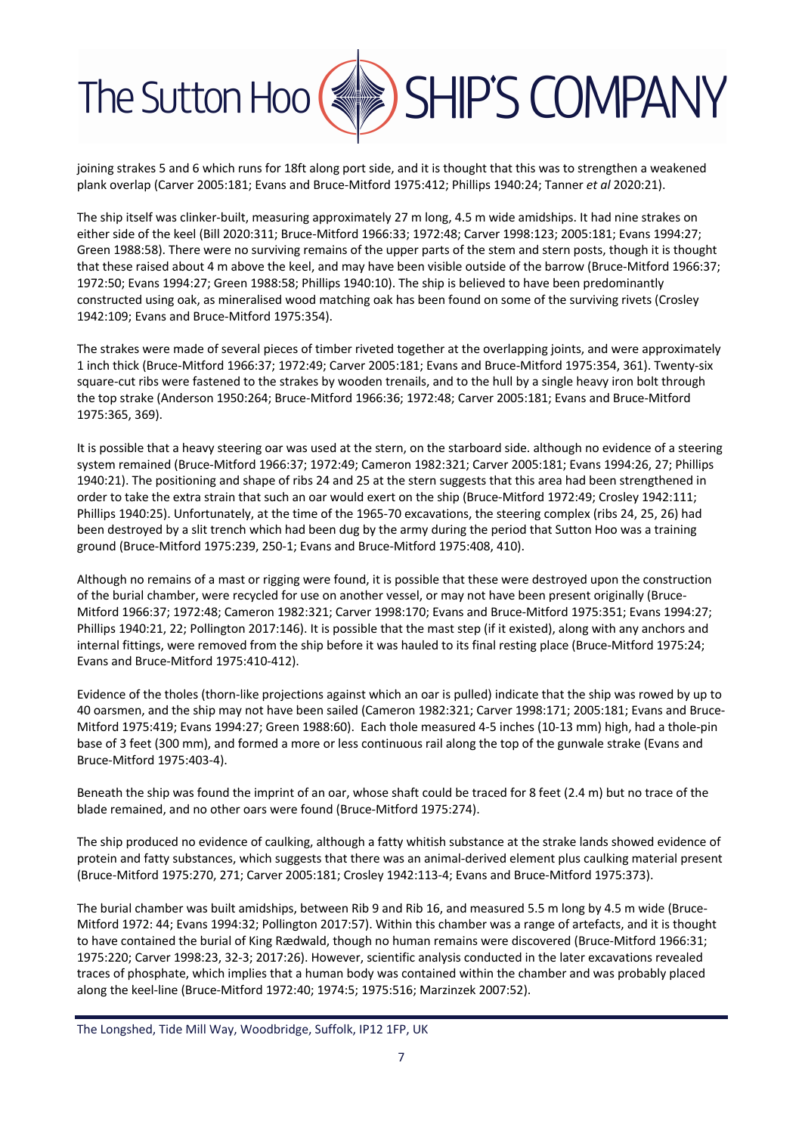

joining strakes 5 and 6 which runs for 18ft along port side, and it is thought that this was to strengthen a weakened plank overlap (Carver 2005:181; Evans and Bruce-Mitford 1975:412; Phillips 1940:24; Tanner *et al* 2020:21).

The ship itself was clinker-built, measuring approximately 27 m long, 4.5 m wide amidships. It had nine strakes on either side of the keel (Bill 2020:311; Bruce-Mitford 1966:33; 1972:48; Carver 1998:123; 2005:181; Evans 1994:27; Green 1988:58). There were no surviving remains of the upper parts of the stem and stern posts, though it is thought that these raised about 4 m above the keel, and may have been visible outside of the barrow (Bruce-Mitford 1966:37; 1972:50; Evans 1994:27; Green 1988:58; Phillips 1940:10). The ship is believed to have been predominantly constructed using oak, as mineralised wood matching oak has been found on some of the surviving rivets (Crosley 1942:109; Evans and Bruce-Mitford 1975:354).

The strakes were made of several pieces of timber riveted together at the overlapping joints, and were approximately 1 inch thick (Bruce-Mitford 1966:37; 1972:49; Carver 2005:181; Evans and Bruce-Mitford 1975:354, 361). Twenty-six square-cut ribs were fastened to the strakes by wooden trenails, and to the hull by a single heavy iron bolt through the top strake (Anderson 1950:264; Bruce-Mitford 1966:36; 1972:48; Carver 2005:181; Evans and Bruce-Mitford 1975:365, 369).

It is possible that a heavy steering oar was used at the stern, on the starboard side. although no evidence of a steering system remained (Bruce-Mitford 1966:37; 1972:49; Cameron 1982:321; Carver 2005:181; Evans 1994:26, 27; Phillips 1940:21). The positioning and shape of ribs 24 and 25 at the stern suggests that this area had been strengthened in order to take the extra strain that such an oar would exert on the ship (Bruce-Mitford 1972:49; Crosley 1942:111; Phillips 1940:25). Unfortunately, at the time of the 1965-70 excavations, the steering complex (ribs 24, 25, 26) had been destroyed by a slit trench which had been dug by the army during the period that Sutton Hoo was a training ground (Bruce-Mitford 1975:239, 250-1; Evans and Bruce-Mitford 1975:408, 410).

Although no remains of a mast or rigging were found, it is possible that these were destroyed upon the construction of the burial chamber, were recycled for use on another vessel, or may not have been present originally (Bruce-Mitford 1966:37; 1972:48; Cameron 1982:321; Carver 1998:170; Evans and Bruce-Mitford 1975:351; Evans 1994:27; Phillips 1940:21, 22; Pollington 2017:146). It is possible that the mast step (if it existed), along with any anchors and internal fittings, were removed from the ship before it was hauled to its final resting place (Bruce-Mitford 1975:24; Evans and Bruce-Mitford 1975:410-412).

Evidence of the tholes (thorn-like projections against which an oar is pulled) indicate that the ship was rowed by up to 40 oarsmen, and the ship may not have been sailed (Cameron 1982:321; Carver 1998:171; 2005:181; Evans and Bruce-Mitford 1975:419; Evans 1994:27; Green 1988:60). Each thole measured 4-5 inches (10-13 mm) high, had a thole-pin base of 3 feet (300 mm), and formed a more or less continuous rail along the top of the gunwale strake (Evans and Bruce-Mitford 1975:403-4).

Beneath the ship was found the imprint of an oar, whose shaft could be traced for 8 feet (2.4 m) but no trace of the blade remained, and no other oars were found (Bruce-Mitford 1975:274).

The ship produced no evidence of caulking, although a fatty whitish substance at the strake lands showed evidence of protein and fatty substances, which suggests that there was an animal-derived element plus caulking material present (Bruce-Mitford 1975:270, 271; Carver 2005:181; Crosley 1942:113-4; Evans and Bruce-Mitford 1975:373).

The burial chamber was built amidships, between Rib 9 and Rib 16, and measured 5.5 m long by 4.5 m wide (Bruce-Mitford 1972: 44; Evans 1994:32; Pollington 2017:57). Within this chamber was a range of artefacts, and it is thought to have contained the burial of King Rædwald, though no human remains were discovered (Bruce-Mitford 1966:31; 1975:220; Carver 1998:23, 32-3; 2017:26). However, scientific analysis conducted in the later excavations revealed traces of phosphate, which implies that a human body was contained within the chamber and was probably placed along the keel-line (Bruce-Mitford 1972:40; 1974:5; 1975:516; Marzinzek 2007:52).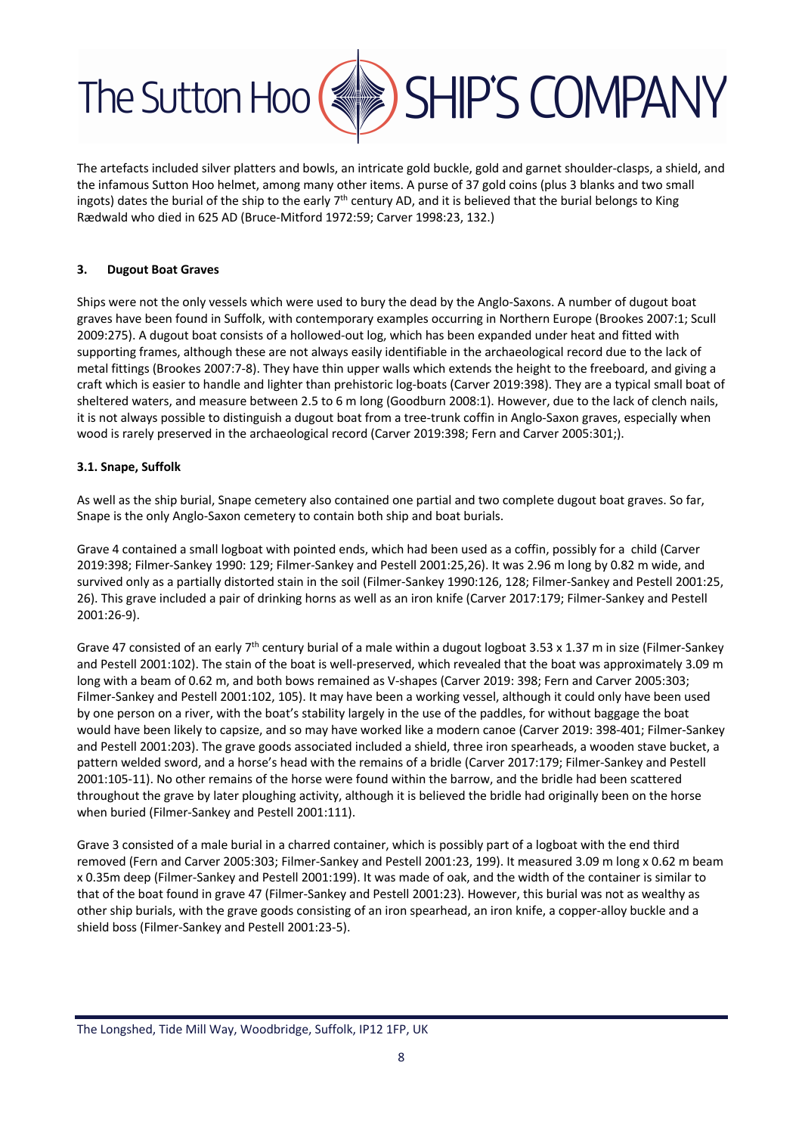

The artefacts included silver platters and bowls, an intricate gold buckle, gold and garnet shoulder-clasps, a shield, and the infamous Sutton Hoo helmet, among many other items. A purse of 37 gold coins (plus 3 blanks and two small ingots) dates the burial of the ship to the early  $7<sup>th</sup>$  century AD, and it is believed that the burial belongs to King Rædwald who died in 625 AD (Bruce-Mitford 1972:59; Carver 1998:23, 132.)

#### **3. Dugout Boat Graves**

Ships were not the only vessels which were used to bury the dead by the Anglo-Saxons. A number of dugout boat graves have been found in Suffolk, with contemporary examples occurring in Northern Europe (Brookes 2007:1; Scull 2009:275). A dugout boat consists of a hollowed-out log, which has been expanded under heat and fitted with supporting frames, although these are not always easily identifiable in the archaeological record due to the lack of metal fittings (Brookes 2007:7-8). They have thin upper walls which extends the height to the freeboard, and giving a craft which is easier to handle and lighter than prehistoric log-boats (Carver 2019:398). They are a typical small boat of sheltered waters, and measure between 2.5 to 6 m long (Goodburn 2008:1). However, due to the lack of clench nails, it is not always possible to distinguish a dugout boat from a tree-trunk coffin in Anglo-Saxon graves, especially when wood is rarely preserved in the archaeological record (Carver 2019:398; Fern and Carver 2005:301;).

#### **3.1. Snape, Suffolk**

As well as the ship burial, Snape cemetery also contained one partial and two complete dugout boat graves. So far, Snape is the only Anglo-Saxon cemetery to contain both ship and boat burials.

Grave 4 contained a small logboat with pointed ends, which had been used as a coffin, possibly for a child (Carver 2019:398; Filmer-Sankey 1990: 129; Filmer-Sankey and Pestell 2001:25,26). It was 2.96 m long by 0.82 m wide, and survived only as a partially distorted stain in the soil (Filmer-Sankey 1990:126, 128; Filmer-Sankey and Pestell 2001:25, 26). This grave included a pair of drinking horns as well as an iron knife (Carver 2017:179; Filmer-Sankey and Pestell 2001:26-9).

Grave 47 consisted of an early  $7<sup>th</sup>$  century burial of a male within a dugout logboat 3.53 x 1.37 m in size (Filmer-Sankey and Pestell 2001:102). The stain of the boat is well-preserved, which revealed that the boat was approximately 3.09 m long with a beam of 0.62 m, and both bows remained as V-shapes (Carver 2019: 398; Fern and Carver 2005:303; Filmer-Sankey and Pestell 2001:102, 105). It may have been a working vessel, although it could only have been used by one person on a river, with the boat's stability largely in the use of the paddles, for without baggage the boat would have been likely to capsize, and so may have worked like a modern canoe (Carver 2019: 398-401; Filmer-Sankey and Pestell 2001:203). The grave goods associated included a shield, three iron spearheads, a wooden stave bucket, a pattern welded sword, and a horse's head with the remains of a bridle (Carver 2017:179; Filmer-Sankey and Pestell 2001:105-11). No other remains of the horse were found within the barrow, and the bridle had been scattered throughout the grave by later ploughing activity, although it is believed the bridle had originally been on the horse when buried (Filmer-Sankey and Pestell 2001:111).

Grave 3 consisted of a male burial in a charred container, which is possibly part of a logboat with the end third removed (Fern and Carver 2005:303; Filmer-Sankey and Pestell 2001:23, 199). It measured 3.09 m long x 0.62 m beam x 0.35m deep (Filmer-Sankey and Pestell 2001:199). It was made of oak, and the width of the container is similar to that of the boat found in grave 47 (Filmer-Sankey and Pestell 2001:23). However, this burial was not as wealthy as other ship burials, with the grave goods consisting of an iron spearhead, an iron knife, a copper-alloy buckle and a shield boss (Filmer-Sankey and Pestell 2001:23-5).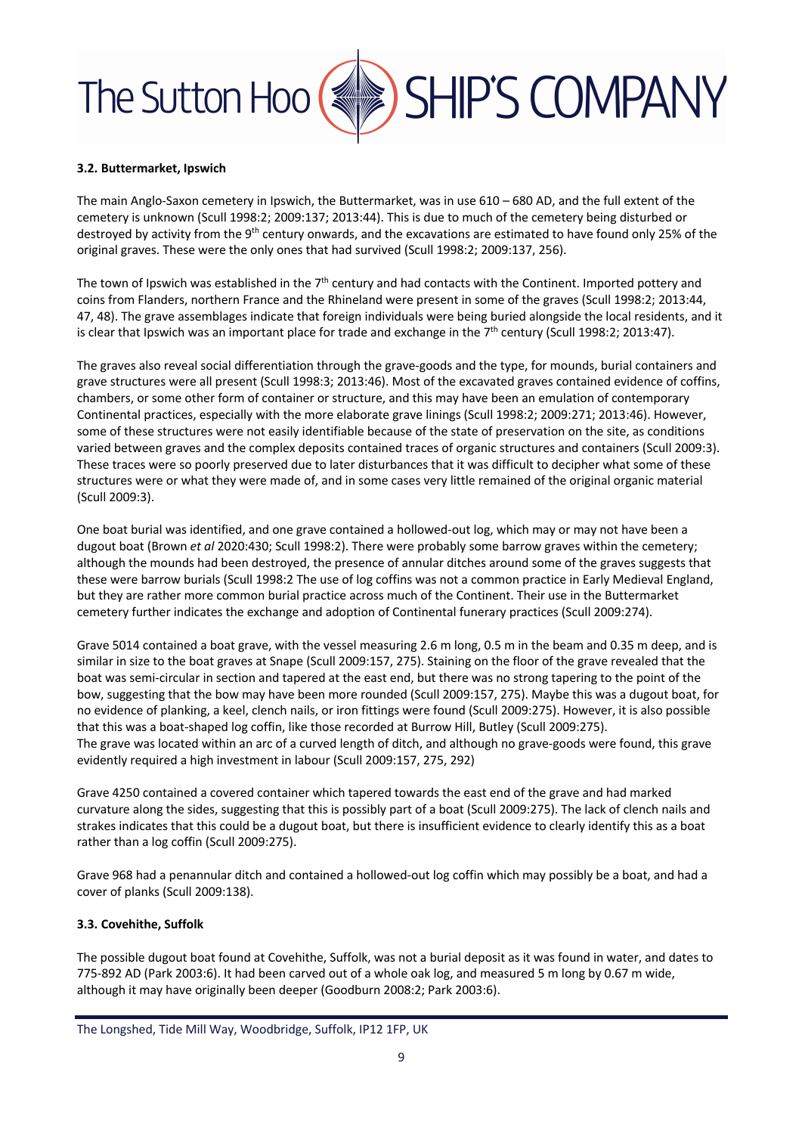#### **3.2. Buttermarket, Ipswich**

The main Anglo-Saxon cemetery in Ipswich, the Buttermarket, was in use 610 – 680 AD, and the full extent of the cemetery is unknown (Scull 1998:2; 2009:137; 2013:44). This is due to much of the cemetery being disturbed or destroyed by activity from the 9<sup>th</sup> century onwards, and the excavations are estimated to have found only 25% of the original graves. These were the only ones that had survived (Scull 1998:2; 2009:137, 256).

The town of Ipswich was established in the  $7<sup>th</sup>$  century and had contacts with the Continent. Imported pottery and coins from Flanders, northern France and the Rhineland were present in some of the graves (Scull 1998:2; 2013:44, 47, 48). The grave assemblages indicate that foreign individuals were being buried alongside the local residents, and it is clear that Ipswich was an important place for trade and exchange in the  $7<sup>th</sup>$  century (Scull 1998:2; 2013:47).

The graves also reveal social differentiation through the grave-goods and the type, for mounds, burial containers and grave structures were all present (Scull 1998:3; 2013:46). Most of the excavated graves contained evidence of coffins, chambers, or some other form of container or structure, and this may have been an emulation of contemporary Continental practices, especially with the more elaborate grave linings (Scull 1998:2; 2009:271; 2013:46). However, some of these structures were not easily identifiable because of the state of preservation on the site, as conditions varied between graves and the complex deposits contained traces of organic structures and containers (Scull 2009:3). These traces were so poorly preserved due to later disturbances that it was difficult to decipher what some of these structures were or what they were made of, and in some cases very little remained of the original organic material (Scull 2009:3).

One boat burial was identified, and one grave contained a hollowed-out log, which may or may not have been a dugout boat (Brown *et al* 2020:430; Scull 1998:2). There were probably some barrow graves within the cemetery; although the mounds had been destroyed, the presence of annular ditches around some of the graves suggests that these were barrow burials (Scull 1998:2 The use of log coffins was not a common practice in Early Medieval England, but they are rather more common burial practice across much of the Continent. Their use in the Buttermarket cemetery further indicates the exchange and adoption of Continental funerary practices (Scull 2009:274).

Grave 5014 contained a boat grave, with the vessel measuring 2.6 m long, 0.5 m in the beam and 0.35 m deep, and is similar in size to the boat graves at Snape (Scull 2009:157, 275). Staining on the floor of the grave revealed that the boat was semi-circular in section and tapered at the east end, but there was no strong tapering to the point of the bow, suggesting that the bow may have been more rounded (Scull 2009:157, 275). Maybe this was a dugout boat, for no evidence of planking, a keel, clench nails, or iron fittings were found (Scull 2009:275). However, it is also possible that this was a boat-shaped log coffin, like those recorded at Burrow Hill, Butley (Scull 2009:275). The grave was located within an arc of a curved length of ditch, and although no grave-goods were found, this grave evidently required a high investment in labour (Scull 2009:157, 275, 292)

Grave 4250 contained a covered container which tapered towards the east end of the grave and had marked curvature along the sides, suggesting that this is possibly part of a boat (Scull 2009:275). The lack of clench nails and strakes indicates that this could be a dugout boat, but there is insufficient evidence to clearly identify this as a boat rather than a log coffin (Scull 2009:275).

Grave 968 had a penannular ditch and contained a hollowed-out log coffin which may possibly be a boat, and had a cover of planks (Scull 2009:138).

#### **3.3. Covehithe, Suffolk**

The possible dugout boat found at Covehithe, Suffolk, was not a burial deposit as it was found in water, and dates to 775-892 AD (Park 2003:6). It had been carved out of a whole oak log, and measured 5 m long by 0.67 m wide, although it may have originally been deeper (Goodburn 2008:2; Park 2003:6).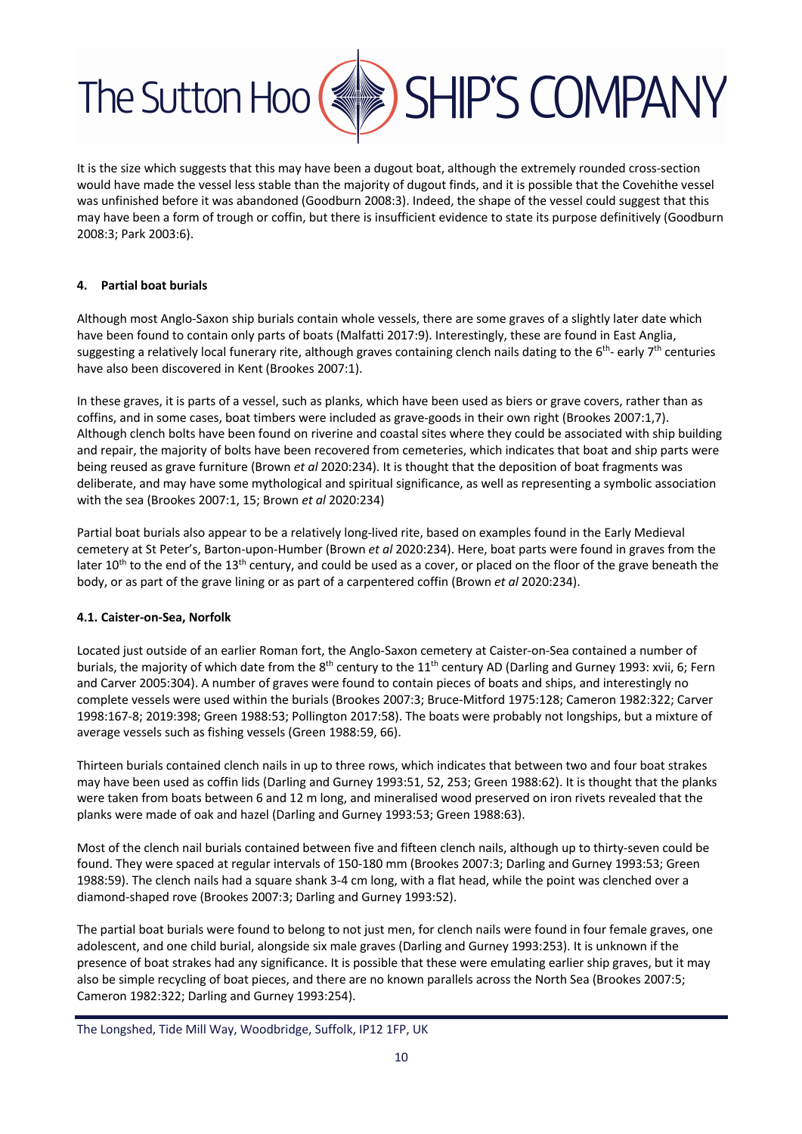

It is the size which suggests that this may have been a dugout boat, although the extremely rounded cross-section would have made the vessel less stable than the majority of dugout finds, and it is possible that the Covehithe vessel was unfinished before it was abandoned (Goodburn 2008:3). Indeed, the shape of the vessel could suggest that this may have been a form of trough or coffin, but there is insufficient evidence to state its purpose definitively (Goodburn 2008:3; Park 2003:6).

#### **4. Partial boat burials**

Although most Anglo-Saxon ship burials contain whole vessels, there are some graves of a slightly later date which have been found to contain only parts of boats (Malfatti 2017:9). Interestingly, these are found in East Anglia, suggesting a relatively local funerary rite, although graves containing clench nails dating to the  $6^{th}$ - early  $7^{th}$  centuries have also been discovered in Kent (Brookes 2007:1).

In these graves, it is parts of a vessel, such as planks, which have been used as biers or grave covers, rather than as coffins, and in some cases, boat timbers were included as grave-goods in their own right (Brookes 2007:1,7). Although clench bolts have been found on riverine and coastal sites where they could be associated with ship building and repair, the majority of bolts have been recovered from cemeteries, which indicates that boat and ship parts were being reused as grave furniture (Brown *et al* 2020:234). It is thought that the deposition of boat fragments was deliberate, and may have some mythological and spiritual significance, as well as representing a symbolic association with the sea (Brookes 2007:1, 15; Brown *et al* 2020:234)

Partial boat burials also appear to be a relatively long-lived rite, based on examples found in the Early Medieval cemetery at St Peter's, Barton-upon-Humber (Brown *et al* 2020:234). Here, boat parts were found in graves from the later 10<sup>th</sup> to the end of the 13<sup>th</sup> century, and could be used as a cover, or placed on the floor of the grave beneath the body, or as part of the grave lining or as part of a carpentered coffin (Brown *et al* 2020:234).

#### **4.1. Caister-on-Sea, Norfolk**

Located just outside of an earlier Roman fort, the Anglo-Saxon cemetery at Caister-on-Sea contained a number of burials, the majority of which date from the  $8<sup>th</sup>$  century to the  $11<sup>th</sup>$  century AD (Darling and Gurney 1993: xvii, 6; Fern and Carver 2005:304). A number of graves were found to contain pieces of boats and ships, and interestingly no complete vessels were used within the burials (Brookes 2007:3; Bruce-Mitford 1975:128; Cameron 1982:322; Carver 1998:167-8; 2019:398; Green 1988:53; Pollington 2017:58). The boats were probably not longships, but a mixture of average vessels such as fishing vessels (Green 1988:59, 66).

Thirteen burials contained clench nails in up to three rows, which indicates that between two and four boat strakes may have been used as coffin lids (Darling and Gurney 1993:51, 52, 253; Green 1988:62). It is thought that the planks were taken from boats between 6 and 12 m long, and mineralised wood preserved on iron rivets revealed that the planks were made of oak and hazel (Darling and Gurney 1993:53; Green 1988:63).

Most of the clench nail burials contained between five and fifteen clench nails, although up to thirty-seven could be found. They were spaced at regular intervals of 150-180 mm (Brookes 2007:3; Darling and Gurney 1993:53; Green 1988:59). The clench nails had a square shank 3-4 cm long, with a flat head, while the point was clenched over a diamond-shaped rove (Brookes 2007:3; Darling and Gurney 1993:52).

The partial boat burials were found to belong to not just men, for clench nails were found in four female graves, one adolescent, and one child burial, alongside six male graves (Darling and Gurney 1993:253). It is unknown if the presence of boat strakes had any significance. It is possible that these were emulating earlier ship graves, but it may also be simple recycling of boat pieces, and there are no known parallels across the North Sea (Brookes 2007:5; Cameron 1982:322; Darling and Gurney 1993:254).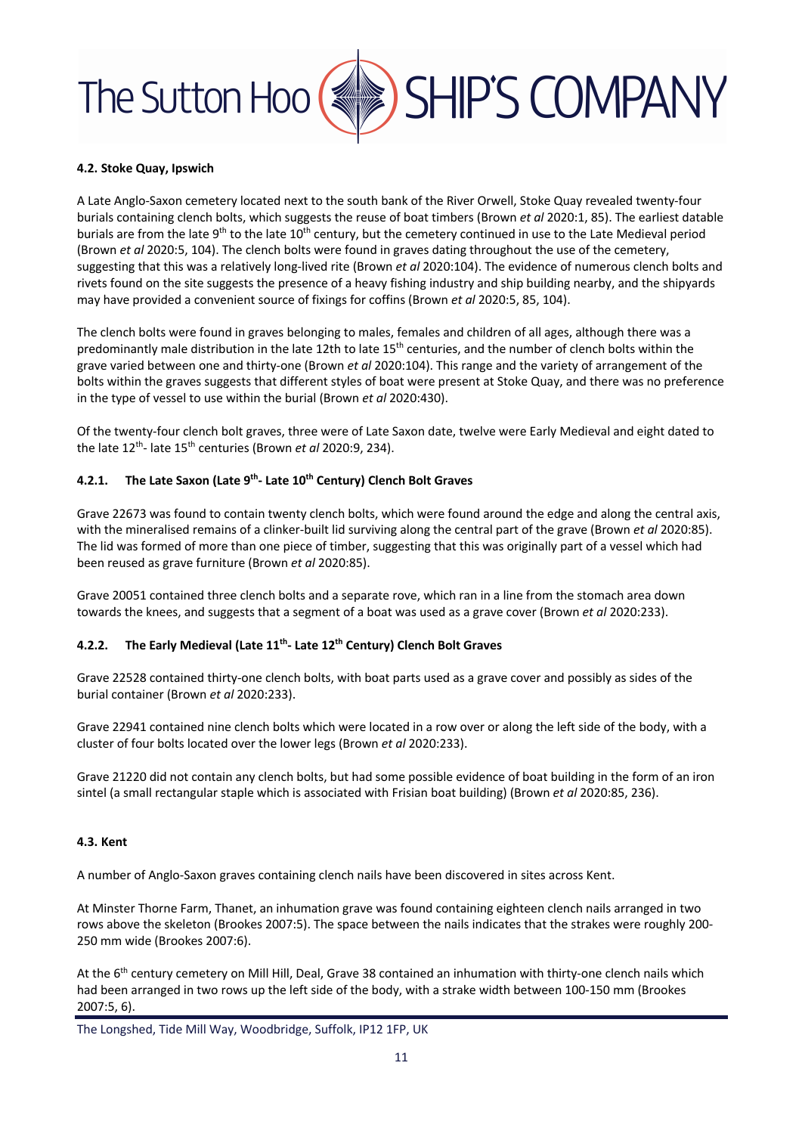#### **4.2. Stoke Quay, Ipswich**

A Late Anglo-Saxon cemetery located next to the south bank of the River Orwell, Stoke Quay revealed twenty-four burials containing clench bolts, which suggests the reuse of boat timbers (Brown *et al* 2020:1, 85). The earliest datable burials are from the late 9<sup>th</sup> to the late 10<sup>th</sup> century, but the cemetery continued in use to the Late Medieval period (Brown *et al* 2020:5, 104). The clench bolts were found in graves dating throughout the use of the cemetery, suggesting that this was a relatively long-lived rite (Brown *et al* 2020:104). The evidence of numerous clench bolts and rivets found on the site suggests the presence of a heavy fishing industry and ship building nearby, and the shipyards may have provided a convenient source of fixings for coffins (Brown *et al* 2020:5, 85, 104).

The clench bolts were found in graves belonging to males, females and children of all ages, although there was a predominantly male distribution in the late 12th to late 15<sup>th</sup> centuries, and the number of clench bolts within the grave varied between one and thirty-one (Brown *et al* 2020:104). This range and the variety of arrangement of the bolts within the graves suggests that different styles of boat were present at Stoke Quay, and there was no preference in the type of vessel to use within the burial (Brown *et al* 2020:430).

Of the twenty-four clench bolt graves, three were of Late Saxon date, twelve were Early Medieval and eight dated to the late 12th- late 15th centuries (Brown *et al* 2020:9, 234).

#### **4.2.1. The Late Saxon (Late 9th- Late 10th Century) Clench Bolt Graves**

Grave 22673 was found to contain twenty clench bolts, which were found around the edge and along the central axis, with the mineralised remains of a clinker-built lid surviving along the central part of the grave (Brown *et al* 2020:85). The lid was formed of more than one piece of timber, suggesting that this was originally part of a vessel which had been reused as grave furniture (Brown *et al* 2020:85).

Grave 20051 contained three clench bolts and a separate rove, which ran in a line from the stomach area down towards the knees, and suggests that a segment of a boat was used as a grave cover (Brown *et al* 2020:233).

#### **4.2.2. The Early Medieval (Late 11th- Late 12th Century) Clench Bolt Graves**

Grave 22528 contained thirty-one clench bolts, with boat parts used as a grave cover and possibly as sides of the burial container (Brown *et al* 2020:233).

Grave 22941 contained nine clench bolts which were located in a row over or along the left side of the body, with a cluster of four bolts located over the lower legs (Brown *et al* 2020:233).

Grave 21220 did not contain any clench bolts, but had some possible evidence of boat building in the form of an iron sintel (a small rectangular staple which is associated with Frisian boat building) (Brown *et al* 2020:85, 236).

#### **4.3. Kent**

A number of Anglo-Saxon graves containing clench nails have been discovered in sites across Kent.

At Minster Thorne Farm, Thanet, an inhumation grave was found containing eighteen clench nails arranged in two rows above the skeleton (Brookes 2007:5). The space between the nails indicates that the strakes were roughly 200- 250 mm wide (Brookes 2007:6).

At the 6<sup>th</sup> century cemetery on Mill Hill, Deal, Grave 38 contained an inhumation with thirty-one clench nails which had been arranged in two rows up the left side of the body, with a strake width between 100-150 mm (Brookes 2007:5, 6).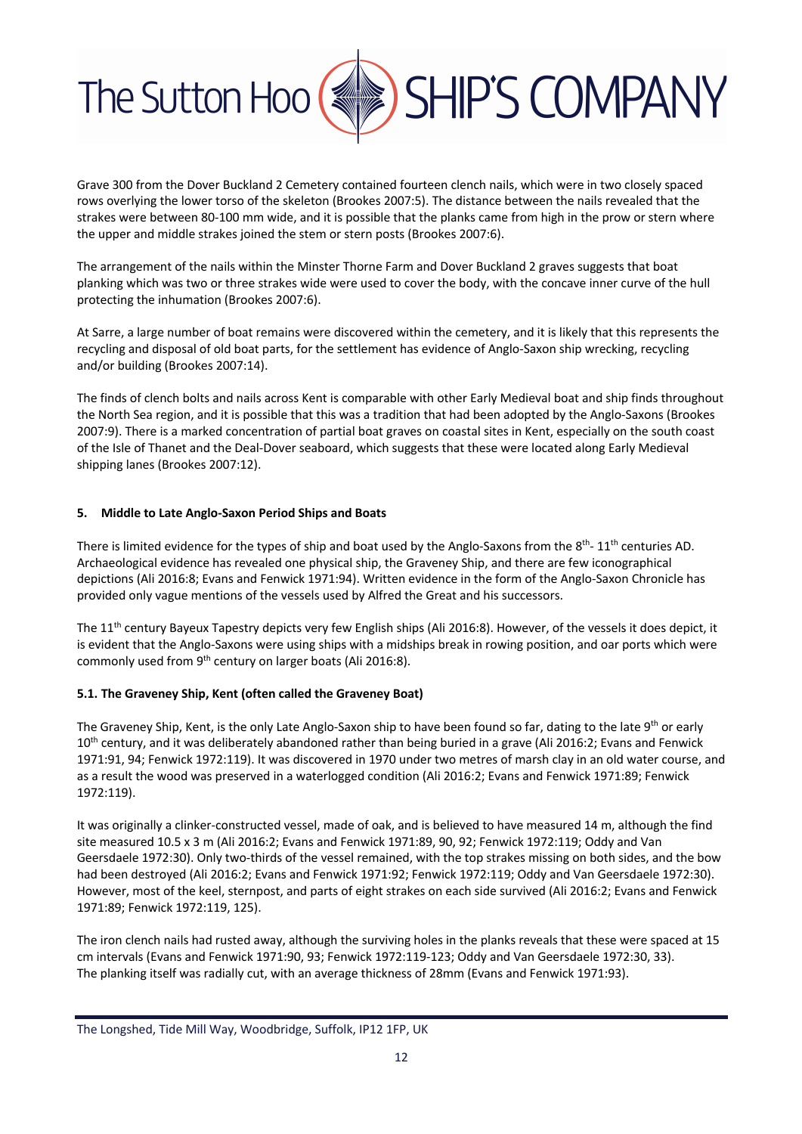

Grave 300 from the Dover Buckland 2 Cemetery contained fourteen clench nails, which were in two closely spaced rows overlying the lower torso of the skeleton (Brookes 2007:5). The distance between the nails revealed that the strakes were between 80-100 mm wide, and it is possible that the planks came from high in the prow or stern where the upper and middle strakes joined the stem or stern posts (Brookes 2007:6).

The arrangement of the nails within the Minster Thorne Farm and Dover Buckland 2 graves suggests that boat planking which was two or three strakes wide were used to cover the body, with the concave inner curve of the hull protecting the inhumation (Brookes 2007:6).

At Sarre, a large number of boat remains were discovered within the cemetery, and it is likely that this represents the recycling and disposal of old boat parts, for the settlement has evidence of Anglo-Saxon ship wrecking, recycling and/or building (Brookes 2007:14).

The finds of clench bolts and nails across Kent is comparable with other Early Medieval boat and ship finds throughout the North Sea region, and it is possible that this was a tradition that had been adopted by the Anglo-Saxons (Brookes 2007:9). There is a marked concentration of partial boat graves on coastal sites in Kent, especially on the south coast of the Isle of Thanet and the Deal-Dover seaboard, which suggests that these were located along Early Medieval shipping lanes (Brookes 2007:12).

#### **5. Middle to Late Anglo-Saxon Period Ships and Boats**

There is limited evidence for the types of ship and boat used by the Anglo-Saxons from the 8<sup>th</sup>-11<sup>th</sup> centuries AD. Archaeological evidence has revealed one physical ship, the Graveney Ship, and there are few iconographical depictions (Ali 2016:8; Evans and Fenwick 1971:94). Written evidence in the form of the Anglo-Saxon Chronicle has provided only vague mentions of the vessels used by Alfred the Great and his successors.

The 11th century Bayeux Tapestry depicts very few English ships (Ali 2016:8). However, of the vessels it does depict, it is evident that the Anglo-Saxons were using ships with a midships break in rowing position, and oar ports which were commonly used from 9<sup>th</sup> century on larger boats (Ali 2016:8).

#### **5.1. The Graveney Ship, Kent (often called the Graveney Boat)**

The Graveney Ship, Kent, is the only Late Anglo-Saxon ship to have been found so far, dating to the late 9th or early 10<sup>th</sup> century, and it was deliberately abandoned rather than being buried in a grave (Ali 2016:2; Evans and Fenwick 1971:91, 94; Fenwick 1972:119). It was discovered in 1970 under two metres of marsh clay in an old water course, and as a result the wood was preserved in a waterlogged condition (Ali 2016:2; Evans and Fenwick 1971:89; Fenwick 1972:119).

It was originally a clinker-constructed vessel, made of oak, and is believed to have measured 14 m, although the find site measured 10.5 x 3 m (Ali 2016:2; Evans and Fenwick 1971:89, 90, 92; Fenwick 1972:119; Oddy and Van Geersdaele 1972:30). Only two-thirds of the vessel remained, with the top strakes missing on both sides, and the bow had been destroyed (Ali 2016:2; Evans and Fenwick 1971:92; Fenwick 1972:119; Oddy and Van Geersdaele 1972:30). However, most of the keel, sternpost, and parts of eight strakes on each side survived (Ali 2016:2; Evans and Fenwick 1971:89; Fenwick 1972:119, 125).

The iron clench nails had rusted away, although the surviving holes in the planks reveals that these were spaced at 15 cm intervals (Evans and Fenwick 1971:90, 93; Fenwick 1972:119-123; Oddy and Van Geersdaele 1972:30, 33). The planking itself was radially cut, with an average thickness of 28mm (Evans and Fenwick 1971:93).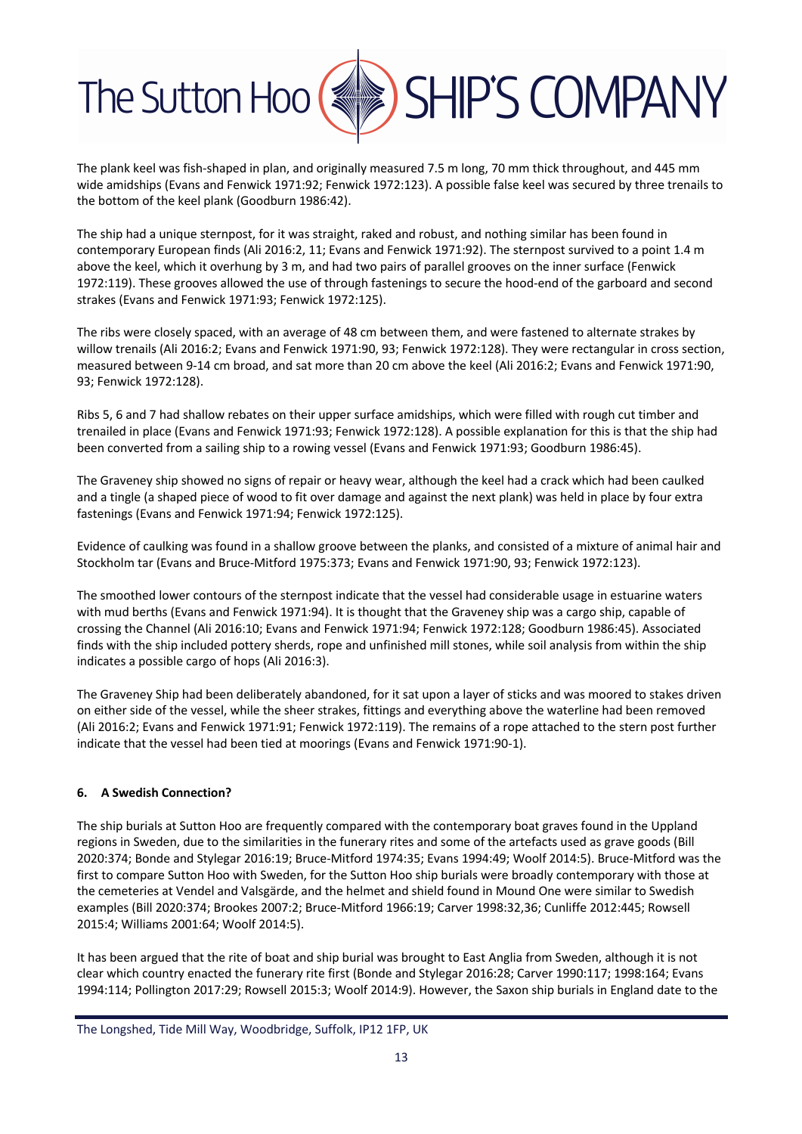The plank keel was fish-shaped in plan, and originally measured 7.5 m long, 70 mm thick throughout, and 445 mm wide amidships (Evans and Fenwick 1971:92; Fenwick 1972:123). A possible false keel was secured by three trenails to the bottom of the keel plank (Goodburn 1986:42).

The ship had a unique sternpost, for it was straight, raked and robust, and nothing similar has been found in contemporary European finds (Ali 2016:2, 11; Evans and Fenwick 1971:92). The sternpost survived to a point 1.4 m above the keel, which it overhung by 3 m, and had two pairs of parallel grooves on the inner surface (Fenwick 1972:119). These grooves allowed the use of through fastenings to secure the hood-end of the garboard and second strakes (Evans and Fenwick 1971:93; Fenwick 1972:125).

The ribs were closely spaced, with an average of 48 cm between them, and were fastened to alternate strakes by willow trenails (Ali 2016:2; Evans and Fenwick 1971:90, 93; Fenwick 1972:128). They were rectangular in cross section, measured between 9-14 cm broad, and sat more than 20 cm above the keel (Ali 2016:2; Evans and Fenwick 1971:90, 93; Fenwick 1972:128).

Ribs 5, 6 and 7 had shallow rebates on their upper surface amidships, which were filled with rough cut timber and trenailed in place (Evans and Fenwick 1971:93; Fenwick 1972:128). A possible explanation for this is that the ship had been converted from a sailing ship to a rowing vessel (Evans and Fenwick 1971:93; Goodburn 1986:45).

The Graveney ship showed no signs of repair or heavy wear, although the keel had a crack which had been caulked and a tingle (a shaped piece of wood to fit over damage and against the next plank) was held in place by four extra fastenings (Evans and Fenwick 1971:94; Fenwick 1972:125).

Evidence of caulking was found in a shallow groove between the planks, and consisted of a mixture of animal hair and Stockholm tar (Evans and Bruce-Mitford 1975:373; Evans and Fenwick 1971:90, 93; Fenwick 1972:123).

The smoothed lower contours of the sternpost indicate that the vessel had considerable usage in estuarine waters with mud berths (Evans and Fenwick 1971:94). It is thought that the Graveney ship was a cargo ship, capable of crossing the Channel (Ali 2016:10; Evans and Fenwick 1971:94; Fenwick 1972:128; Goodburn 1986:45). Associated finds with the ship included pottery sherds, rope and unfinished mill stones, while soil analysis from within the ship indicates a possible cargo of hops (Ali 2016:3).

The Graveney Ship had been deliberately abandoned, for it sat upon a layer of sticks and was moored to stakes driven on either side of the vessel, while the sheer strakes, fittings and everything above the waterline had been removed (Ali 2016:2; Evans and Fenwick 1971:91; Fenwick 1972:119). The remains of a rope attached to the stern post further indicate that the vessel had been tied at moorings (Evans and Fenwick 1971:90-1).

#### **6. A Swedish Connection?**

The ship burials at Sutton Hoo are frequently compared with the contemporary boat graves found in the Uppland regions in Sweden, due to the similarities in the funerary rites and some of the artefacts used as grave goods (Bill 2020:374; Bonde and Stylegar 2016:19; Bruce-Mitford 1974:35; Evans 1994:49; Woolf 2014:5). Bruce-Mitford was the first to compare Sutton Hoo with Sweden, for the Sutton Hoo ship burials were broadly contemporary with those at the cemeteries at Vendel and Valsgärde, and the helmet and shield found in Mound One were similar to Swedish examples (Bill 2020:374; Brookes 2007:2; Bruce-Mitford 1966:19; Carver 1998:32,36; Cunliffe 2012:445; Rowsell 2015:4; Williams 2001:64; Woolf 2014:5).

It has been argued that the rite of boat and ship burial was brought to East Anglia from Sweden, although it is not clear which country enacted the funerary rite first (Bonde and Stylegar 2016:28; Carver 1990:117; 1998:164; Evans 1994:114; Pollington 2017:29; Rowsell 2015:3; Woolf 2014:9). However, the Saxon ship burials in England date to the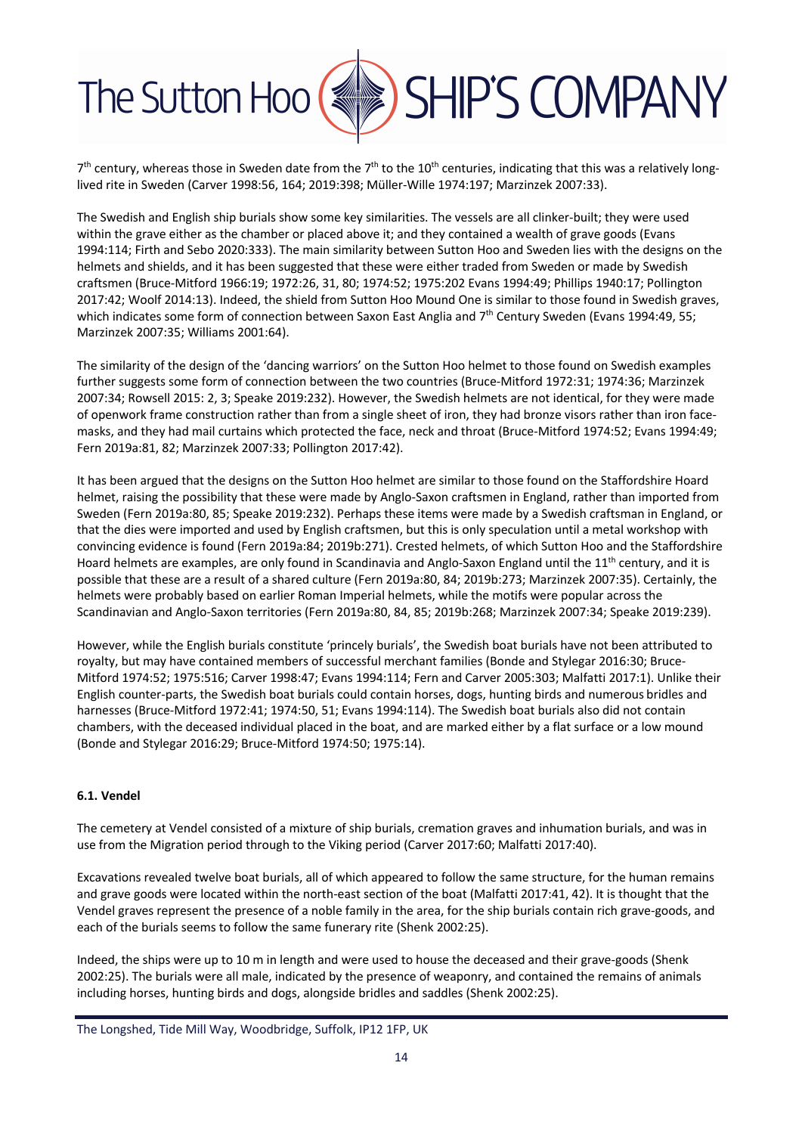

 $7<sup>th</sup>$  century, whereas those in Sweden date from the  $7<sup>th</sup>$  to the  $10<sup>th</sup>$  centuries, indicating that this was a relatively longlived rite in Sweden (Carver 1998:56, 164; 2019:398; Müller-Wille 1974:197; Marzinzek 2007:33).

The Swedish and English ship burials show some key similarities. The vessels are all clinker-built; they were used within the grave either as the chamber or placed above it; and they contained a wealth of grave goods (Evans 1994:114; Firth and Sebo 2020:333). The main similarity between Sutton Hoo and Sweden lies with the designs on the helmets and shields, and it has been suggested that these were either traded from Sweden or made by Swedish craftsmen (Bruce-Mitford 1966:19; 1972:26, 31, 80; 1974:52; 1975:202 Evans 1994:49; Phillips 1940:17; Pollington 2017:42; Woolf 2014:13). Indeed, the shield from Sutton Hoo Mound One is similar to those found in Swedish graves, which indicates some form of connection between Saxon East Anglia and 7<sup>th</sup> Century Sweden (Evans 1994:49, 55; Marzinzek 2007:35; Williams 2001:64).

The similarity of the design of the 'dancing warriors' on the Sutton Hoo helmet to those found on Swedish examples further suggests some form of connection between the two countries (Bruce-Mitford 1972:31; 1974:36; Marzinzek 2007:34; Rowsell 2015: 2, 3; Speake 2019:232). However, the Swedish helmets are not identical, for they were made of openwork frame construction rather than from a single sheet of iron, they had bronze visors rather than iron facemasks, and they had mail curtains which protected the face, neck and throat (Bruce-Mitford 1974:52; Evans 1994:49; Fern 2019a:81, 82; Marzinzek 2007:33; Pollington 2017:42).

It has been argued that the designs on the Sutton Hoo helmet are similar to those found on the Staffordshire Hoard helmet, raising the possibility that these were made by Anglo-Saxon craftsmen in England, rather than imported from Sweden (Fern 2019a:80, 85; Speake 2019:232). Perhaps these items were made by a Swedish craftsman in England, or that the dies were imported and used by English craftsmen, but this is only speculation until a metal workshop with convincing evidence is found (Fern 2019a:84; 2019b:271). Crested helmets, of which Sutton Hoo and the Staffordshire Hoard helmets are examples, are only found in Scandinavia and Anglo-Saxon England until the  $11<sup>th</sup>$  century, and it is possible that these are a result of a shared culture (Fern 2019a:80, 84; 2019b:273; Marzinzek 2007:35). Certainly, the helmets were probably based on earlier Roman Imperial helmets, while the motifs were popular across the Scandinavian and Anglo-Saxon territories (Fern 2019a:80, 84, 85; 2019b:268; Marzinzek 2007:34; Speake 2019:239).

However, while the English burials constitute 'princely burials', the Swedish boat burials have not been attributed to royalty, but may have contained members of successful merchant families (Bonde and Stylegar 2016:30; Bruce-Mitford 1974:52; 1975:516; Carver 1998:47; Evans 1994:114; Fern and Carver 2005:303; Malfatti 2017:1). Unlike their English counter-parts, the Swedish boat burials could contain horses, dogs, hunting birds and numerous bridles and harnesses (Bruce-Mitford 1972:41; 1974:50, 51; Evans 1994:114). The Swedish boat burials also did not contain chambers, with the deceased individual placed in the boat, and are marked either by a flat surface or a low mound (Bonde and Stylegar 2016:29; Bruce-Mitford 1974:50; 1975:14).

#### **6.1. Vendel**

The cemetery at Vendel consisted of a mixture of ship burials, cremation graves and inhumation burials, and was in use from the Migration period through to the Viking period (Carver 2017:60; Malfatti 2017:40).

Excavations revealed twelve boat burials, all of which appeared to follow the same structure, for the human remains and grave goods were located within the north-east section of the boat (Malfatti 2017:41, 42). It is thought that the Vendel graves represent the presence of a noble family in the area, for the ship burials contain rich grave-goods, and each of the burials seems to follow the same funerary rite (Shenk 2002:25).

Indeed, the ships were up to 10 m in length and were used to house the deceased and their grave-goods (Shenk 2002:25). The burials were all male, indicated by the presence of weaponry, and contained the remains of animals including horses, hunting birds and dogs, alongside bridles and saddles (Shenk 2002:25).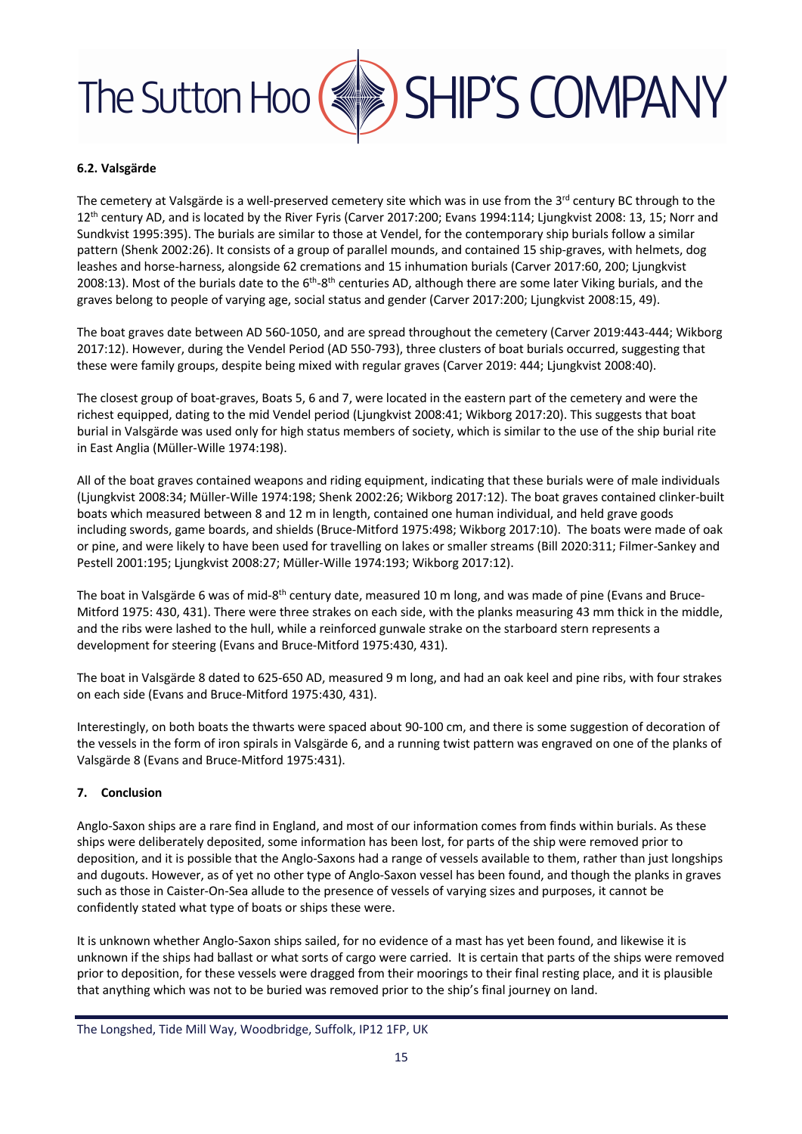#### **6.2. Valsgärde**

The cemetery at Valsgärde is a well-preserved cemetery site which was in use from the 3<sup>rd</sup> century BC through to the 12<sup>th</sup> century AD, and is located by the River Fyris (Carver 2017:200; Evans 1994:114; Ljungkvist 2008: 13, 15; Norr and Sundkvist 1995:395). The burials are similar to those at Vendel, for the contemporary ship burials follow a similar pattern (Shenk 2002:26). It consists of a group of parallel mounds, and contained 15 ship-graves, with helmets, dog leashes and horse-harness, alongside 62 cremations and 15 inhumation burials (Carver 2017:60, 200; Ljungkvist 2008:13). Most of the burials date to the  $6^{th}$ -8<sup>th</sup> centuries AD, although there are some later Viking burials, and the graves belong to people of varying age, social status and gender (Carver 2017:200; Ljungkvist 2008:15, 49).

The boat graves date between AD 560-1050, and are spread throughout the cemetery (Carver 2019:443-444; Wikborg 2017:12). However, during the Vendel Period (AD 550-793), three clusters of boat burials occurred, suggesting that these were family groups, despite being mixed with regular graves (Carver 2019: 444; Ljungkvist 2008:40).

The closest group of boat-graves, Boats 5, 6 and 7, were located in the eastern part of the cemetery and were the richest equipped, dating to the mid Vendel period (Ljungkvist 2008:41; Wikborg 2017:20). This suggests that boat burial in Valsgärde was used only for high status members of society, which is similar to the use of the ship burial rite in East Anglia (Müller-Wille 1974:198).

All of the boat graves contained weapons and riding equipment, indicating that these burials were of male individuals (Ljungkvist 2008:34; Müller-Wille 1974:198; Shenk 2002:26; Wikborg 2017:12). The boat graves contained clinker-built boats which measured between 8 and 12 m in length, contained one human individual, and held grave goods including swords, game boards, and shields (Bruce-Mitford 1975:498; Wikborg 2017:10). The boats were made of oak or pine, and were likely to have been used for travelling on lakes or smaller streams (Bill 2020:311; Filmer-Sankey and Pestell 2001:195; Ljungkvist 2008:27; Müller-Wille 1974:193; Wikborg 2017:12).

The boat in Valsgärde 6 was of mid-8<sup>th</sup> century date, measured 10 m long, and was made of pine (Evans and Bruce-Mitford 1975: 430, 431). There were three strakes on each side, with the planks measuring 43 mm thick in the middle, and the ribs were lashed to the hull, while a reinforced gunwale strake on the starboard stern represents a development for steering (Evans and Bruce-Mitford 1975:430, 431).

The boat in Valsgärde 8 dated to 625-650 AD, measured 9 m long, and had an oak keel and pine ribs, with four strakes on each side (Evans and Bruce-Mitford 1975:430, 431).

Interestingly, on both boats the thwarts were spaced about 90-100 cm, and there is some suggestion of decoration of the vessels in the form of iron spirals in Valsgärde 6, and a running twist pattern was engraved on one of the planks of Valsgärde 8 (Evans and Bruce-Mitford 1975:431).

#### **7. Conclusion**

Anglo-Saxon ships are a rare find in England, and most of our information comes from finds within burials. As these ships were deliberately deposited, some information has been lost, for parts of the ship were removed prior to deposition, and it is possible that the Anglo-Saxons had a range of vessels available to them, rather than just longships and dugouts. However, as of yet no other type of Anglo-Saxon vessel has been found, and though the planks in graves such as those in Caister-On-Sea allude to the presence of vessels of varying sizes and purposes, it cannot be confidently stated what type of boats or ships these were.

It is unknown whether Anglo-Saxon ships sailed, for no evidence of a mast has yet been found, and likewise it is unknown if the ships had ballast or what sorts of cargo were carried. It is certain that parts of the ships were removed prior to deposition, for these vessels were dragged from their moorings to their final resting place, and it is plausible that anything which was not to be buried was removed prior to the ship's final journey on land.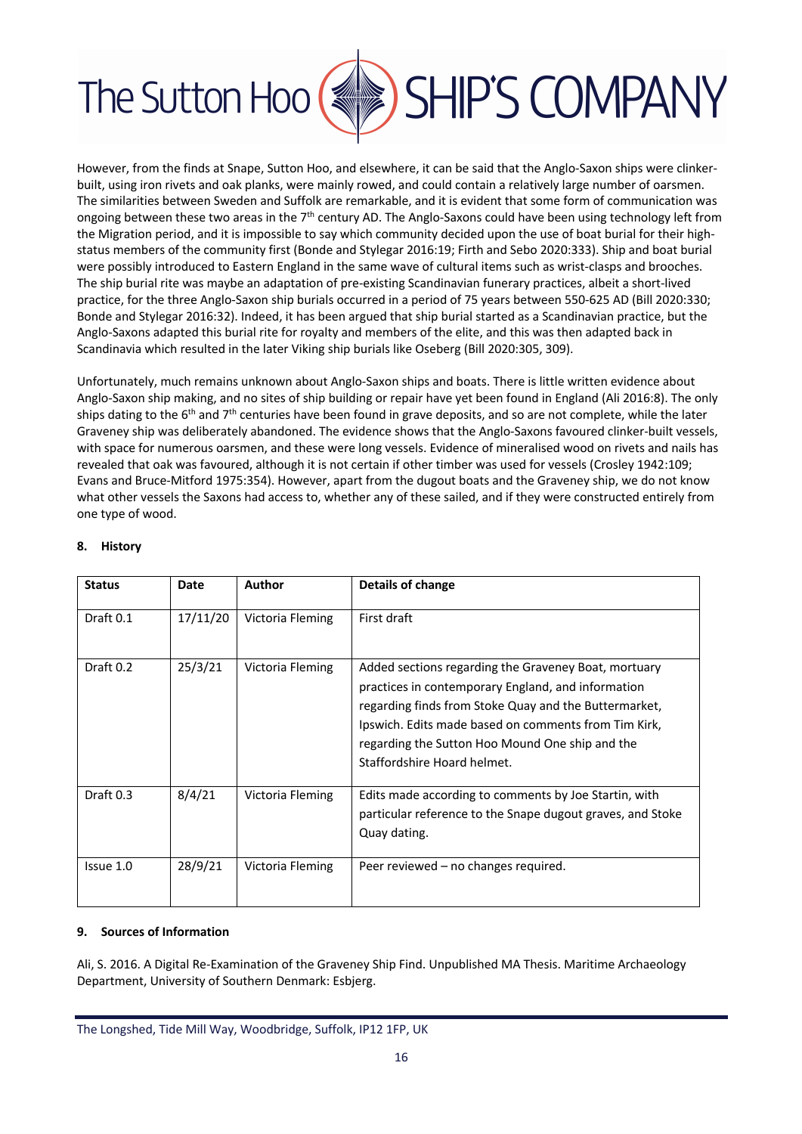

However, from the finds at Snape, Sutton Hoo, and elsewhere, it can be said that the Anglo-Saxon ships were clinkerbuilt, using iron rivets and oak planks, were mainly rowed, and could contain a relatively large number of oarsmen. The similarities between Sweden and Suffolk are remarkable, and it is evident that some form of communication was ongoing between these two areas in the  $7<sup>th</sup>$  century AD. The Anglo-Saxons could have been using technology left from the Migration period, and it is impossible to say which community decided upon the use of boat burial for their highstatus members of the community first (Bonde and Stylegar 2016:19; Firth and Sebo 2020:333). Ship and boat burial were possibly introduced to Eastern England in the same wave of cultural items such as wrist-clasps and brooches. The ship burial rite was maybe an adaptation of pre-existing Scandinavian funerary practices, albeit a short-lived practice, for the three Anglo-Saxon ship burials occurred in a period of 75 years between 550-625 AD (Bill 2020:330; Bonde and Stylegar 2016:32). Indeed, it has been argued that ship burial started as a Scandinavian practice, but the Anglo-Saxons adapted this burial rite for royalty and members of the elite, and this was then adapted back in Scandinavia which resulted in the later Viking ship burials like Oseberg (Bill 2020:305, 309).

Unfortunately, much remains unknown about Anglo-Saxon ships and boats. There is little written evidence about Anglo-Saxon ship making, and no sites of ship building or repair have yet been found in England (Ali 2016:8). The only ships dating to the 6<sup>th</sup> and 7<sup>th</sup> centuries have been found in grave deposits, and so are not complete, while the later Graveney ship was deliberately abandoned. The evidence shows that the Anglo-Saxons favoured clinker-built vessels, with space for numerous oarsmen, and these were long vessels. Evidence of mineralised wood on rivets and nails has revealed that oak was favoured, although it is not certain if other timber was used for vessels (Crosley 1942:109; Evans and Bruce-Mitford 1975:354). However, apart from the dugout boats and the Graveney ship, we do not know what other vessels the Saxons had access to, whether any of these sailed, and if they were constructed entirely from one type of wood.

| <b>Status</b> | <b>Date</b> | <b>Author</b>    | Details of change                                                                                                                                                                                                                                                                                             |
|---------------|-------------|------------------|---------------------------------------------------------------------------------------------------------------------------------------------------------------------------------------------------------------------------------------------------------------------------------------------------------------|
| Draft 0.1     | 17/11/20    | Victoria Fleming | First draft                                                                                                                                                                                                                                                                                                   |
| Draft 0.2     | 25/3/21     | Victoria Fleming | Added sections regarding the Graveney Boat, mortuary<br>practices in contemporary England, and information<br>regarding finds from Stoke Quay and the Buttermarket,<br>Ipswich. Edits made based on comments from Tim Kirk,<br>regarding the Sutton Hoo Mound One ship and the<br>Staffordshire Hoard helmet. |
| Draft 0.3     | 8/4/21      | Victoria Fleming | Edits made according to comments by Joe Startin, with<br>particular reference to the Snape dugout graves, and Stoke<br>Quay dating.                                                                                                                                                                           |
| Issue 1.0     | 28/9/21     | Victoria Fleming | Peer reviewed – no changes required.                                                                                                                                                                                                                                                                          |

#### **8. History**

#### **9. Sources of Information**

Ali, S. 2016. A Digital Re-Examination of the Graveney Ship Find. Unpublished MA Thesis. Maritime Archaeology Department, University of Southern Denmark: Esbjerg.

The Longshed, Tide Mill Way, Woodbridge, Suffolk, IP12 1FP, UK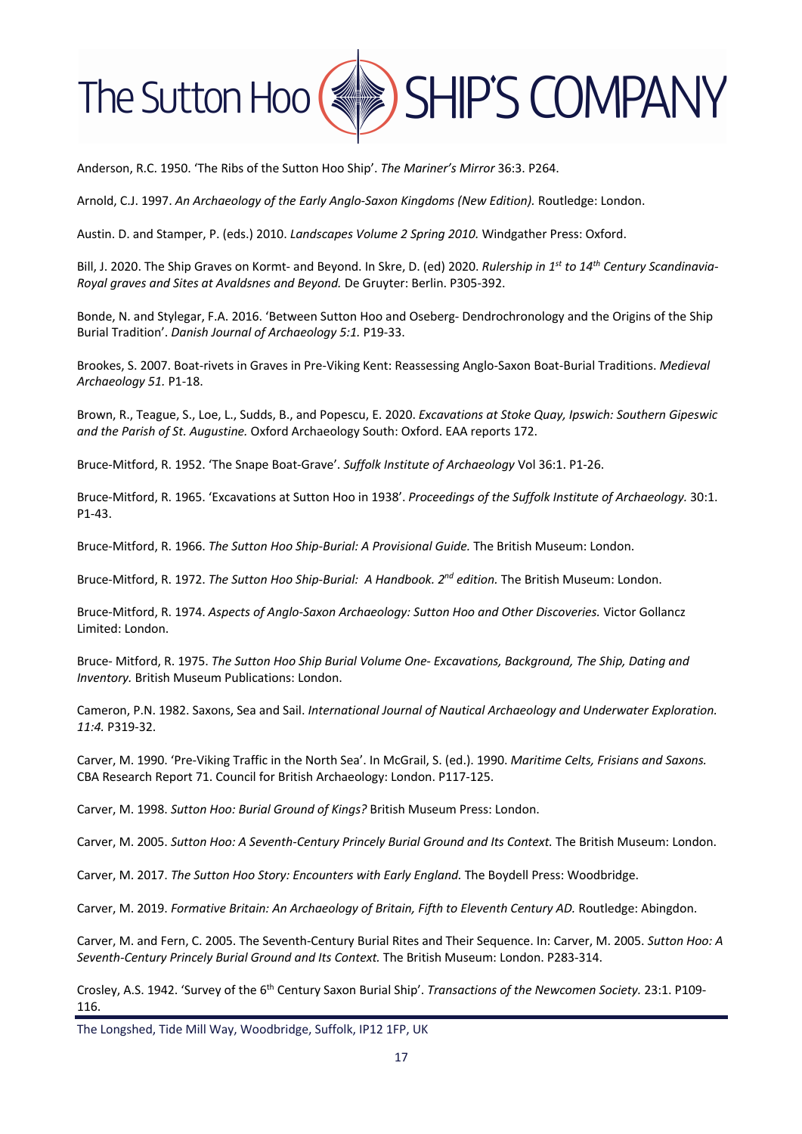

Anderson, R.C. 1950. 'The Ribs of the Sutton Hoo Ship'. *The Mariner's Mirror* 36:3. P264.

Arnold, C.J. 1997. *An Archaeology of the Early Anglo-Saxon Kingdoms (New Edition).* Routledge: London.

Austin. D. and Stamper, P. (eds.) 2010. *Landscapes Volume 2 Spring 2010.* Windgather Press: Oxford.

Bill, J. 2020. The Ship Graves on Kormt- and Beyond. In Skre, D. (ed) 2020. *Rulership in 1st to 14th Century Scandinavia-Royal graves and Sites at Avaldsnes and Beyond.* De Gruyter: Berlin. P305-392.

Bonde, N. and Stylegar, F.A. 2016. 'Between Sutton Hoo and Oseberg- Dendrochronology and the Origins of the Ship Burial Tradition'. *Danish Journal of Archaeology 5:1.* P19-33.

Brookes, S. 2007. Boat-rivets in Graves in Pre-Viking Kent: Reassessing Anglo-Saxon Boat-Burial Traditions. *Medieval Archaeology 51.* P1-18.

Brown, R., Teague, S., Loe, L., Sudds, B., and Popescu, E. 2020. *Excavations at Stoke Quay, Ipswich: Southern Gipeswic and the Parish of St. Augustine.* Oxford Archaeology South: Oxford. EAA reports 172.

Bruce-Mitford, R. 1952. 'The Snape Boat-Grave'. *Suffolk Institute of Archaeology* Vol 36:1. P1-26.

Bruce-Mitford, R. 1965. 'Excavations at Sutton Hoo in 1938'. *Proceedings of the Suffolk Institute of Archaeology.* 30:1. P1-43.

Bruce-Mitford, R. 1966. *The Sutton Hoo Ship-Burial: A Provisional Guide.* The British Museum: London.

Bruce-Mitford, R. 1972. *The Sutton Hoo Ship-Burial: A Handbook. 2nd edition.* The British Museum: London.

Bruce-Mitford, R. 1974. *Aspects of Anglo-Saxon Archaeology: Sutton Hoo and Other Discoveries.* Victor Gollancz Limited: London.

Bruce- Mitford, R. 1975. *The Sutton Hoo Ship Burial Volume One- Excavations, Background, The Ship, Dating and Inventory.* British Museum Publications: London.

Cameron, P.N. 1982. Saxons, Sea and Sail. *International Journal of Nautical Archaeology and Underwater Exploration. 11:4.* P319-32.

Carver, M. 1990. 'Pre-Viking Traffic in the North Sea'. In McGrail, S. (ed.). 1990. *Maritime Celts, Frisians and Saxons.* CBA Research Report 71. Council for British Archaeology: London. P117-125.

Carver, M. 1998. *Sutton Hoo: Burial Ground of Kings?* British Museum Press: London.

Carver, M. 2005. *Sutton Hoo: A Seventh-Century Princely Burial Ground and Its Context.* The British Museum: London.

Carver, M. 2017. *The Sutton Hoo Story: Encounters with Early England.* The Boydell Press: Woodbridge.

Carver, M. 2019. *Formative Britain: An Archaeology of Britain, Fifth to Eleventh Century AD.* Routledge: Abingdon.

Carver, M. and Fern, C. 2005. The Seventh-Century Burial Rites and Their Sequence. In: Carver, M. 2005. *Sutton Hoo: A Seventh-Century Princely Burial Ground and Its Context.* The British Museum: London. P283-314.

Crosley, A.S. 1942. 'Survey of the 6th Century Saxon Burial Ship'. *Transactions of the Newcomen Society.* 23:1. P109- 116.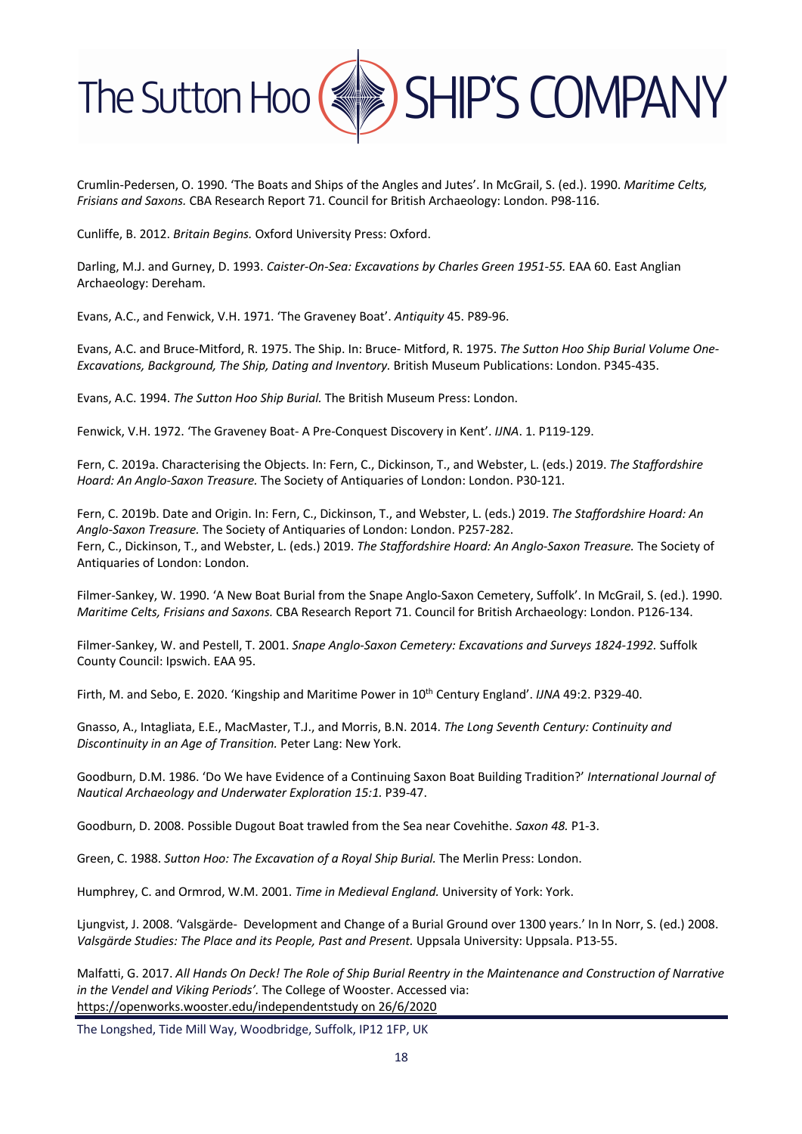

Crumlin-Pedersen, O. 1990. 'The Boats and Ships of the Angles and Jutes'. In McGrail, S. (ed.). 1990. *Maritime Celts, Frisians and Saxons.* CBA Research Report 71. Council for British Archaeology: London. P98-116.

Cunliffe, B. 2012. *Britain Begins.* Oxford University Press: Oxford.

Darling, M.J. and Gurney, D. 1993. *Caister-On-Sea: Excavations by Charles Green 1951-55.* EAA 60. East Anglian Archaeology: Dereham.

Evans, A.C., and Fenwick, V.H. 1971. 'The Graveney Boat'. *Antiquity* 45. P89-96.

Evans, A.C. and Bruce-Mitford, R. 1975. The Ship. In: Bruce- Mitford, R. 1975. *The Sutton Hoo Ship Burial Volume One-Excavations, Background, The Ship, Dating and Inventory.* British Museum Publications: London. P345-435.

Evans, A.C. 1994. *The Sutton Hoo Ship Burial.* The British Museum Press: London.

Fenwick, V.H. 1972. 'The Graveney Boat- A Pre-Conquest Discovery in Kent'. *IJNA*. 1. P119-129.

Fern, C. 2019a. Characterising the Objects. In: Fern, C., Dickinson, T., and Webster, L. (eds.) 2019. *The Staffordshire Hoard: An Anglo-Saxon Treasure.* The Society of Antiquaries of London: London. P30-121.

Fern, C. 2019b. Date and Origin. In: Fern, C., Dickinson, T., and Webster, L. (eds.) 2019. *The Staffordshire Hoard: An Anglo-Saxon Treasure.* The Society of Antiquaries of London: London. P257-282. Fern, C., Dickinson, T., and Webster, L. (eds.) 2019. *The Staffordshire Hoard: An Anglo-Saxon Treasure.* The Society of Antiquaries of London: London.

Filmer-Sankey, W. 1990. 'A New Boat Burial from the Snape Anglo-Saxon Cemetery, Suffolk'. In McGrail, S. (ed.). 1990. *Maritime Celts, Frisians and Saxons.* CBA Research Report 71. Council for British Archaeology: London. P126-134.

Filmer-Sankey, W. and Pestell, T. 2001. *Snape Anglo-Saxon Cemetery: Excavations and Surveys 1824-1992.* Suffolk County Council: Ipswich. EAA 95.

Firth, M. and Sebo, E. 2020. 'Kingship and Maritime Power in 10th Century England'. *IJNA* 49:2. P329-40.

Gnasso, A., Intagliata, E.E., MacMaster, T.J., and Morris, B.N. 2014. *The Long Seventh Century: Continuity and Discontinuity in an Age of Transition.* Peter Lang: New York.

Goodburn, D.M. 1986. 'Do We have Evidence of a Continuing Saxon Boat Building Tradition?' *International Journal of Nautical Archaeology and Underwater Exploration 15:1.* P39-47.

Goodburn, D. 2008. Possible Dugout Boat trawled from the Sea near Covehithe. *Saxon 48.* P1-3.

Green, C. 1988. *Sutton Hoo: The Excavation of a Royal Ship Burial.* The Merlin Press: London.

Humphrey, C. and Ormrod, W.M. 2001. *Time in Medieval England.* University of York: York.

Ljungvist, J. 2008. 'Valsgärde- Development and Change of a Burial Ground over 1300 years.' In In Norr, S. (ed.) 2008. Valsgärde Studies: The Place and its People, Past and Present. Uppsala University: Uppsala, P13-55.

Malfatti, G. 2017. *All Hands On Deck! The Role of Ship Burial Reentry in the Maintenance and Construction of Narrative in the Vendel and Viking Periods'.* The College of Wooster. Accessed via: https://openworks.wooster.edu/independentstudy on 26/6/2020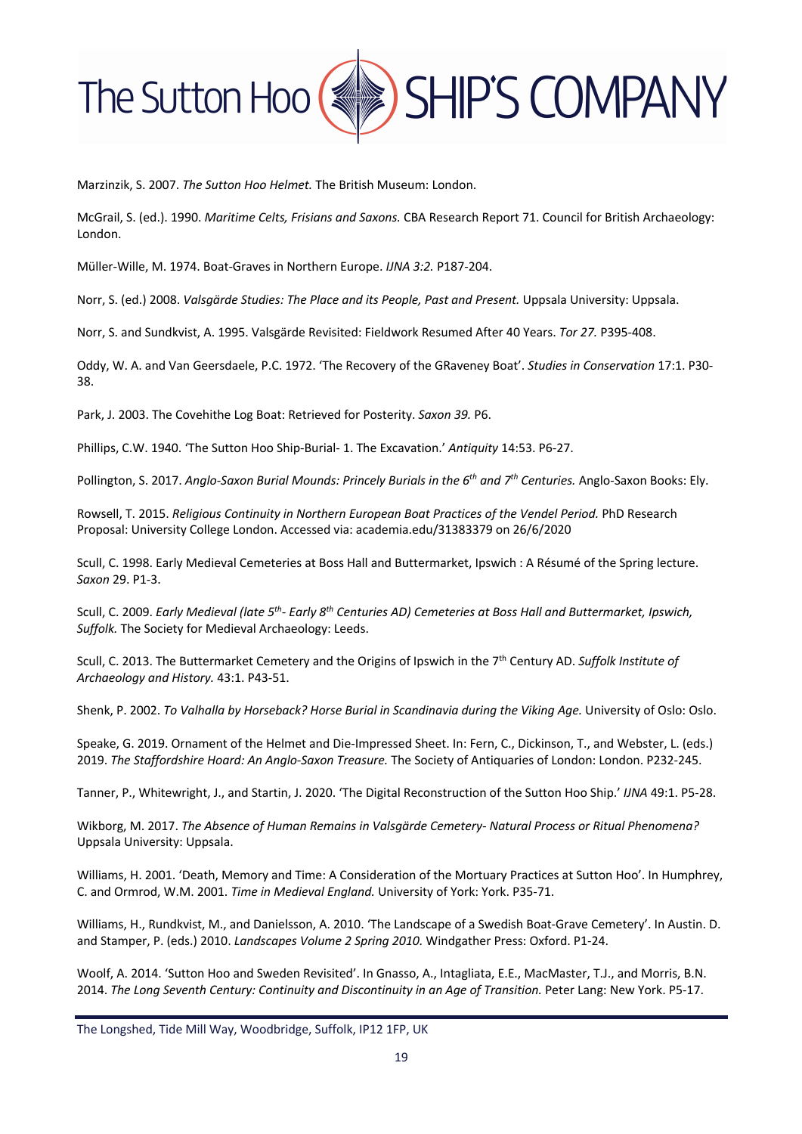

Marzinzik, S. 2007. *The Sutton Hoo Helmet.* The British Museum: London.

McGrail, S. (ed.). 1990. *Maritime Celts, Frisians and Saxons.* CBA Research Report 71. Council for British Archaeology: London.

Müller-Wille, M. 1974. Boat-Graves in Northern Europe. *IJNA 3:2.* P187-204.

Norr, S. (ed.) 2008. *Valsgärde Studies: The Place and its People, Past and Present.* Uppsala University: Uppsala.

Norr, S. and Sundkvist, A. 1995. Valsgärde Revisited: Fieldwork Resumed After 40 Years. *Tor 27.* P395-408.

Oddy, W. A. and Van Geersdaele, P.C. 1972. 'The Recovery of the GRaveney Boat'. *Studies in Conservation* 17:1. P30- 38.

Park, J. 2003. The Covehithe Log Boat: Retrieved for Posterity. *Saxon 39.* P6.

Phillips, C.W. 1940. 'The Sutton Hoo Ship-Burial- 1. The Excavation.' *Antiquity* 14:53. P6-27.

Pollington, S. 2017. *Anglo-Saxon Burial Mounds: Princely Burials in the 6th and 7th Centuries.* Anglo-Saxon Books: Ely.

Rowsell, T. 2015. *Religious Continuity in Northern European Boat Practices of the Vendel Period.* PhD Research Proposal: University College London. Accessed via: academia.edu/31383379 on 26/6/2020

Scull, C. 1998. Early Medieval Cemeteries at Boss Hall and Buttermarket, Ipswich : A Résumé of the Spring lecture. *Saxon* 29. P1-3.

Scull, C. 2009. *Early Medieval (late 5th- Early 8th Centuries AD) Cemeteries at Boss Hall and Buttermarket, Ipswich, Suffolk.* The Society for Medieval Archaeology: Leeds.

Scull, C. 2013. The Buttermarket Cemetery and the Origins of Ipswich in the 7th Century AD. *Suffolk Institute of Archaeology and History.* 43:1. P43-51.

Shenk, P. 2002. *To Valhalla by Horseback? Horse Burial in Scandinavia during the Viking Age.* University of Oslo: Oslo.

Speake, G. 2019. Ornament of the Helmet and Die-Impressed Sheet. In: Fern, C., Dickinson, T., and Webster, L. (eds.) 2019. *The Staffordshire Hoard: An Anglo-Saxon Treasure.* The Society of Antiquaries of London: London. P232-245.

Tanner, P., Whitewright, J., and Startin, J. 2020. 'The Digital Reconstruction of the Sutton Hoo Ship.' *IJNA* 49:1. P5-28.

Wikborg, M. 2017. *The Absence of Human Remains in Valsgärde Cemetery- Natural Process or Ritual Phenomena?* Uppsala University: Uppsala.

Williams, H. 2001. 'Death, Memory and Time: A Consideration of the Mortuary Practices at Sutton Hoo'. In Humphrey, C. and Ormrod, W.M. 2001. *Time in Medieval England.* University of York: York. P35-71.

Williams, H., Rundkvist, M., and Danielsson, A. 2010. 'The Landscape of a Swedish Boat-Grave Cemetery'. In Austin. D. and Stamper, P. (eds.) 2010. *Landscapes Volume 2 Spring 2010.* Windgather Press: Oxford. P1-24.

Woolf, A. 2014. 'Sutton Hoo and Sweden Revisited'. In Gnasso, A., Intagliata, E.E., MacMaster, T.J., and Morris, B.N. 2014. The Long Seventh Century: Continuity and Discontinuity in an Age of Transition. Peter Lang: New York. P5-17.